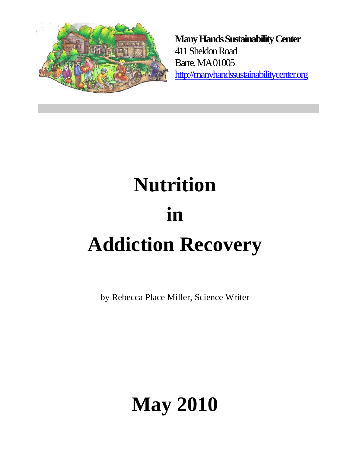

**Many Hands Sustainability Center** 411 Sheldon Road Barre, MA 01005 http://manyhandssustainabilitycenter.org

# **Nutrition in Addiction Recovery**

by Rebecca Place Miller, Science Writer

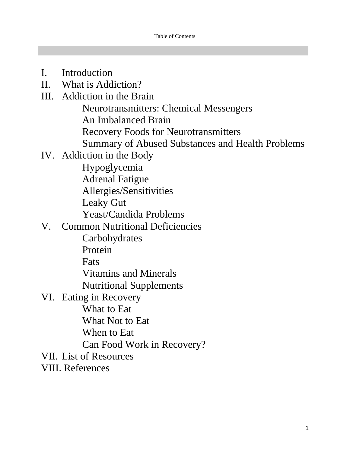Table of Contents

- I. Introduction
- II. What is Addiction?
- III. Addiction in the Brain
	- Neurotransmitters: Chemical Messengers
	- An Imbalanced Brain
	- Recovery Foods for Neurotransmitters
	- Summary of Abused Substances and Health Problems
- IV. Addiction in the Body
	- Hypoglycemia
	- Adrenal Fatigue
	- Allergies/Sensitivities
	- Leaky Gut
	- Yeast/Candida Problems
- V. Common Nutritional Deficiencies
	- Carbohydrates
	- Protein
	- Fats
	- Vitamins and Minerals
	- Nutritional Supplements
- VI. Eating in Recovery
	- What to Eat
		- What Not to Eat
	- When to Eat
	- Can Food Work in Recovery?
- VII. List of Resources
- VIII. References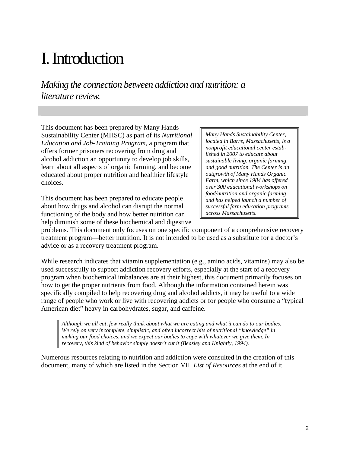# I. Introduction

*Making the connection between addiction and nutrition: a literature review.* 

This document has been prepared by Many Hands Sustainability Center (MHSC) as part of its *Nutritional Education and Job-Training Program*, a program that offers former prisoners recovering from drug and alcohol addiction an opportunity to develop job skills, learn about all aspects of organic farming, and become educated about proper nutrition and healthier lifestyle choices.

This document has been prepared to educate people about how drugs and alcohol can disrupt the normal functioning of the body and how better nutrition can help diminish some of these biochemical and digestive *Many Hands Sustainability Center, located in Barre, Massachusetts, is a nonprofit educational center established in 2007 to educate about sustainable living, organic farming, and good nutrition. The Center is an outgrowth of Many Hands Organic Farm, which since 1984 has offered over 300 educational workshops on food/nutrition and organic farming and has helped launch a number of successful farm education programs across Massachusetts.*

problems. This document only focuses on one specific component of a comprehensive recovery treatment program—better nutrition. It is not intended to be used as a substitute for a doctor's advice or as a recovery treatment program.

While research indicates that vitamin supplementation (e.g., amino acids, vitamins) may also be used successfully to support addiction recovery efforts, especially at the start of a recovery program when biochemical imbalances are at their highest, this document primarily focuses on how to get the proper nutrients from food. Although the information contained herein was specifically compiled to help recovering drug and alcohol addicts, it may be useful to a wide range of people who work or live with recovering addicts or for people who consume a "typical American diet" heavy in carbohydrates, sugar, and caffeine.

*Although we all eat, few really think about what we are eating and what it can do to our bodies. We rely on very incomplete, simplistic, and often incorrect bits of nutritional "knowledge" in making our food choices, and we expect our bodies to cope with whatever we give them. In recovery, this kind of behavior simply doesn't cut it (Beasley and Knightly, 1994).*

Numerous resources relating to nutrition and addiction were consulted in the creation of this document, many of which are listed in the Section VII. *List of Resources* at the end of it.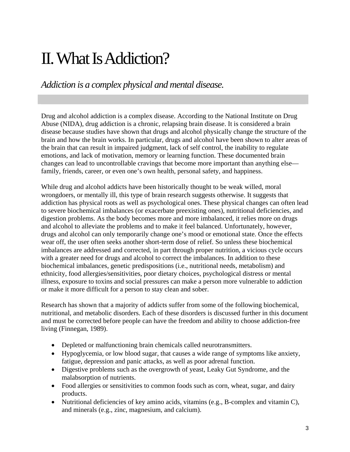# II. What Is Addiction?

# *Addiction is a complex physical and mental disease.*

Drug and alcohol addiction is a complex disease. According to the National Institute on Drug Abuse (NIDA), drug addiction is a chronic, relapsing brain disease. It is considered a brain disease because studies have shown that drugs and alcohol physically change the structure of the brain and how the brain works. In particular, drugs and alcohol have been shown to alter areas of the brain that can result in impaired judgment, lack of self control, the inability to regulate emotions, and lack of motivation, memory or learning function. These documented brain changes can lead to uncontrollable cravings that become more important than anything else family, friends, career, or even one's own health, personal safety, and happiness.

While drug and alcohol addicts have been historically thought to be weak willed, moral wrongdoers, or mentally ill, this type of brain research suggests otherwise. It suggests that addiction has physical roots as well as psychological ones. These physical changes can often lead to severe biochemical imbalances (or exacerbate preexisting ones), nutritional deficiencies, and digestion problems. As the body becomes more and more imbalanced, it relies more on drugs and alcohol to alleviate the problems and to make it feel balanced. Unfortunately, however, drugs and alcohol can only temporarily change one's mood or emotional state. Once the effects wear off, the user often seeks another short-term dose of relief. So unless these biochemical imbalances are addressed and corrected, in part through proper nutrition, a vicious cycle occurs with a greater need for drugs and alcohol to correct the imbalances. In addition to these biochemical imbalances, genetic predispositions (i.e., nutritional needs, metabolism) and ethnicity, food allergies/sensitivities, poor dietary choices, psychological distress or mental illness, exposure to toxins and social pressures can make a person more vulnerable to addiction or make it more difficult for a person to stay clean and sober.

Research has shown that a majority of addicts suffer from some of the following biochemical, nutritional, and metabolic disorders. Each of these disorders is discussed further in this document and must be corrected before people can have the freedom and ability to choose addiction-free living (Finnegan, 1989).

- Depleted or malfunctioning brain chemicals called neurotransmitters.
- Hypoglycemia, or low blood sugar, that causes a wide range of symptoms like anxiety, fatigue, depression and panic attacks, as well as poor adrenal function.
- Digestive problems such as the overgrowth of yeast, Leaky Gut Syndrome, and the malabsorption of nutrients.
- Food allergies or sensitivities to common foods such as corn, wheat, sugar, and dairy products.
- Nutritional deficiencies of key amino acids, vitamins (e.g., B-complex and vitamin C), and minerals (e.g., zinc, magnesium, and calcium).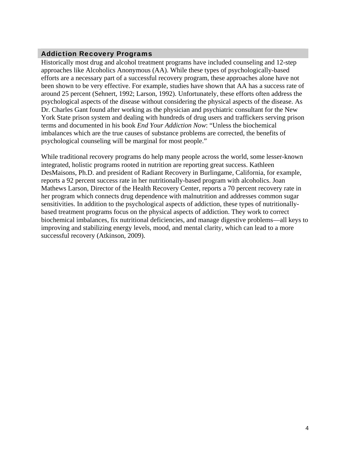# Addiction Recovery Programs

Historically most drug and alcohol treatment programs have included counseling and 12-step approaches like Alcoholics Anonymous (AA). While these types of psychologically-based efforts are a necessary part of a successful recovery program, these approaches alone have not been shown to be very effective. For example, studies have shown that AA has a success rate of around 25 percent (Sehnert, 1992; Larson, 1992). Unfortunately, these efforts often address the psychological aspects of the disease without considering the physical aspects of the disease. As Dr. Charles Gant found after working as the physician and psychiatric consultant for the New York State prison system and dealing with hundreds of drug users and traffickers serving prison terms and documented in his book *End Your Addiction Now*: "Unless the biochemical imbalances which are the true causes of substance problems are corrected, the benefits of psychological counseling will be marginal for most people."

While traditional recovery programs do help many people across the world, some lesser-known integrated, holistic programs rooted in nutrition are reporting great success. Kathleen DesMaisons, Ph.D. and president of Radiant Recovery in Burlingame, California, for example, reports a 92 percent success rate in her nutritionally-based program with alcoholics. Joan Mathews Larson, Director of the Health Recovery Center, reports a 70 percent recovery rate in her program which connects drug dependence with malnutrition and addresses common sugar sensitivities. In addition to the psychological aspects of addiction, these types of nutritionallybased treatment programs focus on the physical aspects of addiction. They work to correct biochemical imbalances, fix nutritional deficiencies, and manage digestive problems—all keys to improving and stabilizing energy levels, mood, and mental clarity, which can lead to a more successful recovery (Atkinson, 2009).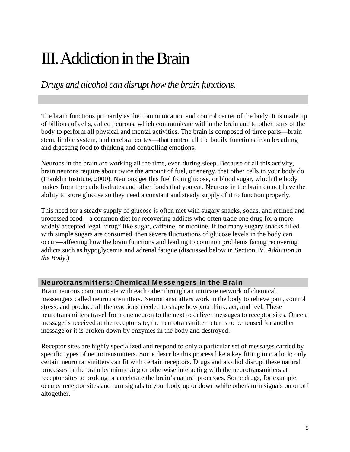# III. Addiction in the Brain

*Drugs and alcohol can disrupt how the brain functions.* 

The brain functions primarily as the communication and control center of the body. It is made up of billions of cells, called neurons, which communicate within the brain and to other parts of the body to perform all physical and mental activities. The brain is composed of three parts—brain stem, limbic system, and cerebral cortex—that control all the bodily functions from breathing and digesting food to thinking and controlling emotions.

Neurons in the brain are working all the time, even during sleep. Because of all this activity, brain neurons require about twice the amount of fuel, or energy, that other cells in your body do (Franklin Institute, 2000). Neurons get this fuel from glucose, or blood sugar, which the body makes from the carbohydrates and other foods that you eat. Neurons in the brain do not have the ability to store glucose so they need a constant and steady supply of it to function properly.

This need for a steady supply of glucose is often met with sugary snacks, sodas, and refined and processed food—a common diet for recovering addicts who often trade one drug for a more widely accepted legal "drug" like sugar, caffeine, or nicotine. If too many sugary snacks filled with simple sugars are consumed, then severe fluctuations of glucose levels in the body can occur—affecting how the brain functions and leading to common problems facing recovering addicts such as hypoglycemia and adrenal fatigue (discussed below in Section IV. *Addiction in the Body*.)

# Neurotransmitters: Chemical Messengers in the Brain

Brain neurons communicate with each other through an intricate network of chemical messengers called neurotransmitters. Neurotransmitters work in the body to relieve pain, control stress, and produce all the reactions needed to shape how you think, act, and feel. These neurotransmitters travel from one neuron to the next to deliver messages to receptor sites. Once a message is received at the receptor site, the neurotransmitter returns to be reused for another message or it is broken down by enzymes in the body and destroyed.

Receptor sites are highly specialized and respond to only a particular set of messages carried by specific types of neurotransmitters. Some describe this process like a key fitting into a lock; only certain neurotransmitters can fit with certain receptors. Drugs and alcohol disrupt these natural processes in the brain by mimicking or otherwise interacting with the neurotransmitters at receptor sites to prolong or accelerate the brain's natural processes. Some drugs, for example, occupy receptor sites and turn signals to your body up or down while others turn signals on or off altogether.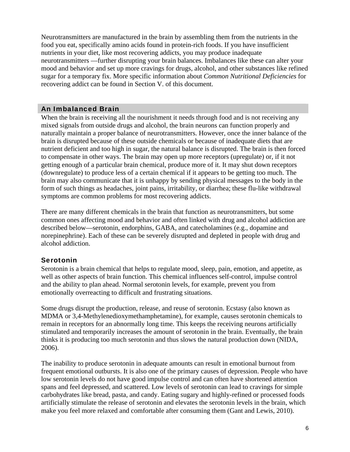Neurotransmitters are manufactured in the brain by assembling them from the nutrients in the food you eat, specifically amino acids found in protein-rich foods. If you have insufficient nutrients in your diet, like most recovering addicts, you may produce inadequate neurotransmitters —further disrupting your brain balances. Imbalances like these can alter your mood and behavior and set up more cravings for drugs, alcohol, and other substances like refined sugar for a temporary fix. More specific information about *Common Nutritional Deficiencies* for recovering addict can be found in Section V. of this document.

#### An Imbalanced Brain

When the brain is receiving all the nourishment it needs through food and is not receiving any mixed signals from outside drugs and alcohol, the brain neurons can function properly and naturally maintain a proper balance of neurotransmitters. However, once the inner balance of the brain is disrupted because of these outside chemicals or because of inadequate diets that are nutrient deficient and too high in sugar, the natural balance is disrupted. The brain is then forced to compensate in other ways. The brain may open up more receptors (upregulate) or, if it not getting enough of a particular brain chemical, produce more of it. It may shut down receptors (downregulate) to produce less of a certain chemical if it appears to be getting too much. The brain may also communicate that it is unhappy by sending physical messages to the body in the form of such things as headaches, joint pains, irritability, or diarrhea; these flu-like withdrawal symptoms are common problems for most recovering addicts.

There are many different chemicals in the brain that function as neurotransmitters, but some common ones affecting mood and behavior and often linked with drug and alcohol addiction are described below—serotonin, endorphins, GABA, and catecholamines (e.g., dopamine and norepinephrine). Each of these can be severely disrupted and depleted in people with drug and alcohol addiction.

# Serotonin

Serotonin is a brain chemical that helps to regulate mood, sleep, pain, emotion, and appetite, as well as other aspects of brain function. This chemical influences self-control, impulse control and the ability to plan ahead. Normal serotonin levels, for example, prevent you from emotionally overreacting to difficult and frustrating situations.

Some drugs disrupt the production, release, and reuse of serotonin. Ecstasy (also known as MDMA or 3,4-Methylenedioxymethamphetamine), for example, causes serotonin chemicals to remain in receptors for an abnormally long time. This keeps the receiving neurons artificially stimulated and temporarily increases the amount of serotonin in the brain. Eventually, the brain thinks it is producing too much serotonin and thus slows the natural production down (NIDA, 2006).

The inability to produce serotonin in adequate amounts can result in emotional burnout from frequent emotional outbursts. It is also one of the primary causes of depression. People who have low serotonin levels do not have good impulse control and can often have shortened attention spans and feel depressed, and scattered. Low levels of serotonin can lead to cravings for simple carbohydrates like bread, pasta, and candy. Eating sugary and highly-refined or processed foods artificially stimulate the release of serotonin and elevates the serotonin levels in the brain, which make you feel more relaxed and comfortable after consuming them (Gant and Lewis, 2010).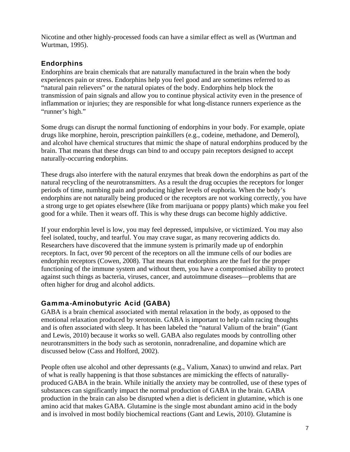Nicotine and other highly-processed foods can have a similar effect as well as (Wurtman and Wurtman, 1995).

# **Endorphins**

Endorphins are brain chemicals that are naturally manufactured in the brain when the body experiences pain or stress. Endorphins help you feel good and are sometimes referred to as "natural pain relievers" or the natural opiates of the body. Endorphins help block the transmission of pain signals and allow you to continue physical activity even in the presence of inflammation or injuries; they are responsible for what long-distance runners experience as the "runner's high."

Some drugs can disrupt the normal functioning of endorphins in your body. For example, opiate drugs like morphine, heroin, prescription painkillers (e.g., codeine, methadone, and Demerol), and alcohol have chemical structures that mimic the shape of natural endorphins produced by the brain. That means that these drugs can bind to and occupy pain receptors designed to accept naturally-occurring endorphins.

These drugs also interfere with the natural enzymes that break down the endorphins as part of the natural recycling of the neurotransmitters. As a result the drug occupies the receptors for longer periods of time, numbing pain and producing higher levels of euphoria. When the body's endorphins are not naturally being produced or the receptors are not working correctly, you have a strong urge to get opiates elsewhere (like from marijuana or poppy plants) which make you feel good for a while. Then it wears off. This is why these drugs can become highly addictive.

If your endorphin level is low, you may feel depressed, impulsive, or victimized. You may also feel isolated, touchy, and tearful. You may crave sugar, as many recovering addicts do. Researchers have discovered that the immune system is primarily made up of endorphin receptors. In fact, over 90 percent of the receptors on all the immune cells of our bodies are endorphin receptors (Cowen, 2008). That means that endorphins are the fuel for the proper functioning of the immune system and without them, you have a compromised ability to protect against such things as bacteria, viruses, cancer, and autoimmune diseases—problems that are often higher for drug and alcohol addicts.

# Gamma-Aminobutyric Acid (GABA)

GABA is a brain chemical associated with mental relaxation in the body, as opposed to the emotional relaxation produced by serotonin. GABA is important to help calm racing thoughts and is often associated with sleep. It has been labeled the "natural Valium of the brain" (Gant and Lewis, 2010) because it works so well. GABA also regulates moods by controlling other neurotransmitters in the body such as serotonin, nonradrenaline, and dopamine which are discussed below (Cass and Holford, 2002).

People often use alcohol and other depressants (e.g., Valium, Xanax) to unwind and relax. Part of what is really happening is that those substances are mimicking the effects of naturallyproduced GABA in the brain. While initially the anxiety may be controlled, use of these types of substances can significantly impact the normal production of GABA in the brain. GABA production in the brain can also be disrupted when a diet is deficient in glutamine, which is one amino acid that makes GABA. Glutamine is the single most abundant amino acid in the body and is involved in most bodily biochemical reactions (Gant and Lewis, 2010). Glutamine is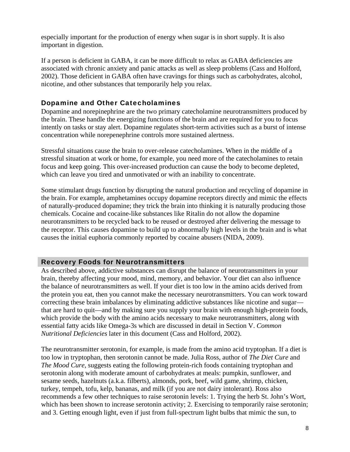especially important for the production of energy when sugar is in short supply. It is also important in digestion.

If a person is deficient in GABA, it can be more difficult to relax as GABA deficiencies are associated with chronic anxiety and panic attacks as well as sleep problems (Cass and Holford, 2002). Those deficient in GABA often have cravings for things such as carbohydrates, alcohol, nicotine, and other substances that temporarily help you relax.

# Dopamine and Other Catecholamines

Dopamine and norepinephrine are the two primary catecholamine neurotransmitters produced by the brain. These handle the energizing functions of the brain and are required for you to focus intently on tasks or stay alert. Dopamine regulates short-term activities such as a burst of intense concentration while norepenephrine controls more sustained alertness.

Stressful situations cause the brain to over-release catecholamines. When in the middle of a stressful situation at work or home, for example, you need more of the catecholamines to retain focus and keep going. This over-increased production can cause the body to become depleted, which can leave you tired and unmotivated or with an inability to concentrate.

Some stimulant drugs function by disrupting the natural production and recycling of dopamine in the brain. For example, amphetamines occupy dopamine receptors directly and mimic the effects of naturally-produced dopamine; they trick the brain into thinking it is naturally producing those chemicals. Cocaine and cocaine-like substances like Ritalin do not allow the dopamine neurotransmitters to be recycled back to be reused or destroyed after delivering the message to the receptor. This causes dopamine to build up to abnormally high levels in the brain and is what causes the initial euphoria commonly reported by cocaine abusers (NIDA, 2009).

# Recovery Foods for Neurotransmitters

As described above, addictive substances can disrupt the balance of neurotransmitters in your brain, thereby affecting your mood, mind, memory, and behavior. Your diet can also influence the balance of neurotransmitters as well. If your diet is too low in the amino acids derived from the protein you eat, then you cannot make the necessary neurotransmitters. You can work toward correcting these brain imbalances by eliminating addictive substances like nicotine and sugar that are hard to quit—and by making sure you supply your brain with enough high-protein foods, which provide the body with the amino acids necessary to make neurotransmitters, along with essential fatty acids like Omega-3s which are discussed in detail in Section V. *Common Nutritional Deficiencies* later in this document (Cass and Holford, 2002).

The neurotransmitter serotonin, for example, is made from the amino acid tryptophan. If a diet is too low in tryptophan, then serotonin cannot be made. Julia Ross, author of *The Diet Cure* and *The Mood Cure*, suggests eating the following protein-rich foods containing tryptophan and serotonin along with moderate amount of carbohydrates at meals: pumpkin, sunflower, and sesame seeds, hazelnuts (a.k.a. filberts), almonds, pork, beef, wild game, shrimp, chicken, turkey, tempeh, tofu, kelp, bananas, and milk (if you are not dairy intolerant). Ross also recommends a few other techniques to raise serotonin levels: 1. Trying the herb St. John's Wort, which has been shown to increase serotonin activity; 2. Exercising to temporarily raise serotonin; and 3. Getting enough light, even if just from full-spectrum light bulbs that mimic the sun, to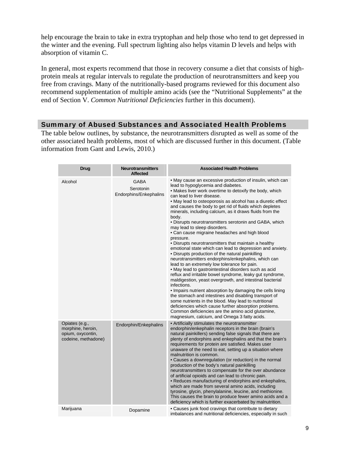help encourage the brain to take in extra tryptophan and help those who tend to get depressed in the winter and the evening. Full spectrum lighting also helps vitamin D levels and helps with absorption of vitamin C.

In general, most experts recommend that those in recovery consume a diet that consists of highprotein meals at regular intervals to regulate the production of neurotransmitters and keep you free from cravings. Many of the nutritionally-based programs reviewed for this document also recommend supplementation of multiple amino acids (see the "Nutritional Supplements" at the end of Section V. *Common Nutritional Deficiencies* further in this document).

#### Summary of Abused Substances and Associated Health Problems

The table below outlines, by substance, the neurotransmitters disrupted as well as some of the other associated health problems, most of which are discussed further in this document. (Table information from Gant and Lewis, 2010.)

| <b>Drug</b>                                                                     | <b>Neurotransmitters</b><br><b>Affected</b>        | <b>Associated Health Problems</b>                                                                                                                                                                                                                                                                                                                                                                                                                                                                                                                                                                                                                                                                                                                                                                                                                                                                                                                                                                                                                                                                                                                                                                                                                                                                                                                                            |
|---------------------------------------------------------------------------------|----------------------------------------------------|------------------------------------------------------------------------------------------------------------------------------------------------------------------------------------------------------------------------------------------------------------------------------------------------------------------------------------------------------------------------------------------------------------------------------------------------------------------------------------------------------------------------------------------------------------------------------------------------------------------------------------------------------------------------------------------------------------------------------------------------------------------------------------------------------------------------------------------------------------------------------------------------------------------------------------------------------------------------------------------------------------------------------------------------------------------------------------------------------------------------------------------------------------------------------------------------------------------------------------------------------------------------------------------------------------------------------------------------------------------------------|
| Alcohol                                                                         | <b>GABA</b><br>Serotonin<br>Endorphins/Enkephalins | . May cause an excessive production of insulin, which can<br>lead to hypoglycemia and diabetes.<br>• Makes liver work overtime to detoxify the body, which<br>can lead to liver disease.<br>• May lead to osteoporosis as alcohol has a diuretic effect<br>and causes the body to get rid of fluids which depletes<br>minerals, including calcium, as it draws fluids from the<br>body.<br>· Disrupts neurotransmitters serotonin and GABA, which<br>may lead to sleep disorders.<br>• Can cause migraine headaches and high blood<br>pressure.<br>. Disrupts neurotransmitters that maintain a healthy<br>emotional state which can lead to depression and anxiety.<br>• Disrupts production of the natural painkilling<br>neurotransmitters endorphins/enkephalins, which can<br>lead to an extremely low tolerance for pain.<br>. May lead to gastrointestinal disorders such as acid<br>reflux and irritable bowel syndrome, leaky gut syndrome,<br>maldigestion, yeast overgrowth, and intestinal bacterial<br>infections.<br>• Impairs nutrient absorption by damaging the cells lining<br>the stomach and intestines and disabling transport of<br>some nutrients in the blood. May lead to nutritional<br>deficiencies which cause further absorption problems.<br>Common deficiencies are the amino acid glutamine,<br>magnesium, calcium, and Omega 3 fatty acids. |
| Opiates (e.g.,<br>morphine, heroin,<br>opium, oxycontin,<br>codeine, methadone) | Endorphin/Enkephalins                              | • Artificially stimulates the neurotransmitter<br>endorphin/enkephalin receptors in the brain (brain's<br>natural painkillers) sending false signals that there are<br>plenty of endorphins and enkephalins and that the brain's<br>requirements for protein are satisfied. Makes user<br>unaware of the need to eat, setting up a situation where<br>malnutrition is common.<br>• Causes a downregulation (or reduction) in the normal<br>production of the body's natural painkilling<br>neurotransmitters to compensate for the over abundance<br>of artificial opioids and can lead to chronic pain.<br>• Reduces manufacturing of endorphins and enkephalins,<br>which are made from several amino acids, including<br>tyrosine, glycin, phenylalanine, leucine, and methionine.<br>This causes the brain to produce fewer amino acids and a<br>deficiency which is further exacerbated by malnutrition.                                                                                                                                                                                                                                                                                                                                                                                                                                                                |
| Marijuana                                                                       | Dopamine                                           | • Causes junk food cravings that contribute to dietary<br>imbalances and nutritional deficiencies, especially in such                                                                                                                                                                                                                                                                                                                                                                                                                                                                                                                                                                                                                                                                                                                                                                                                                                                                                                                                                                                                                                                                                                                                                                                                                                                        |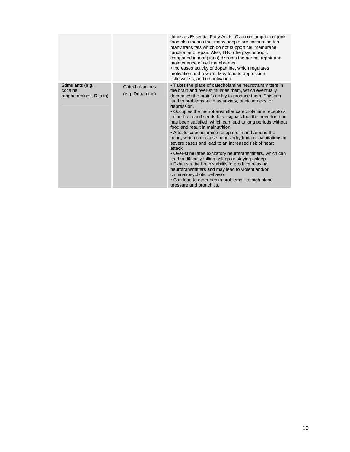|                                                         |                                    | things as Essential Fatty Acids. Overconsumption of junk<br>food also means that many people are consuming too<br>many trans fats which do not support cell membrane<br>function and repair. Also, THC (the psychotropic<br>compound in marijuana) disrupts the normal repair and<br>maintenance of cell membranes.<br>• Increases activity of dopamine, which regulates<br>motivation and reward. May lead to depression,<br>listlessness, and unmotivation.                                                                                                                                                                                                                                                                                                                                                                                                                                                                                                                                                         |
|---------------------------------------------------------|------------------------------------|-----------------------------------------------------------------------------------------------------------------------------------------------------------------------------------------------------------------------------------------------------------------------------------------------------------------------------------------------------------------------------------------------------------------------------------------------------------------------------------------------------------------------------------------------------------------------------------------------------------------------------------------------------------------------------------------------------------------------------------------------------------------------------------------------------------------------------------------------------------------------------------------------------------------------------------------------------------------------------------------------------------------------|
| Stimulants (e.g.,<br>cocaine.<br>amphetamines, Ritalin) | Catecholamines<br>(e.g., Dopamine) | • Takes the place of catecholamine neurotransmitters in<br>the brain and over-stimulates them, which eventually<br>decreases the brain's ability to produce them. This can<br>lead to problems such as anxiety, panic attacks, or<br>depression.<br>• Occupies the neurotransmitter catecholamine receptors<br>in the brain and sends false signals that the need for food<br>has been satisfied, which can lead to long periods without<br>food and result in malnutrition.<br>• Affects catecholamine receptors in and around the<br>heart, which can cause heart arrhythmia or palpitations in<br>severe cases and lead to an increased risk of heart<br>attack.<br>• Over-stimulates excitatory neurotransmitters, which can<br>lead to difficulty falling asleep or staying asleep.<br>• Exhausts the brain's ability to produce relaxing<br>neurotransmitters and may lead to violent and/or<br>criminal/psychotic behavior.<br>• Can lead to other health problems like high blood<br>pressure and bronchitis. |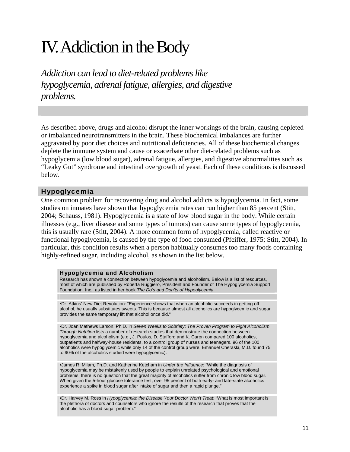# IV. Addiction in the Body

*Addiction can lead to diet-related problems like hypoglycemia, adrenal fatigue, allergies, and digestive problems.* 

As described above, drugs and alcohol disrupt the inner workings of the brain, causing depleted or imbalanced neurotransmitters in the brain. These biochemical imbalances are further aggravated by poor diet choices and nutritional deficiencies. All of these biochemical changes deplete the immune system and cause or exacerbate other diet-related problems such as hypoglycemia (low blood sugar), adrenal fatigue, allergies, and digestive abnormalities such as "Leaky Gut" syndrome and intestinal overgrowth of yeast. Each of these conditions is discussed below.

#### Hypoglycemia

One common problem for recovering drug and alcohol addicts is hypoglycemia. In fact, some studies on inmates have shown that hypoglycemia rates can run higher than 85 percent (Stitt, 2004; Schauss, 1981). Hypoglycemia is a state of low blood sugar in the body. While certain illnesses (e.g., liver disease and some types of tumors) can cause some types of hypoglycemia, this is usually rare (Stitt, 2004). A more common form of hypoglycemia, called reactive or functional hypoglycemia, is caused by the type of food consumed (Pfeiffer, 1975; Stitt, 2004). In particular, this condition results when a person habitually consumes too many foods containing highly-refined sugar, including alcohol, as shown in the list below.

#### Hypoglycemia and Alcoholism

Research has shown a connection between hypoglycemia and alcoholism. Below is a list of resources, most of which are published by Roberta Ruggiero, President and Founder of The Hypoglycemia Support Foundation, Inc., as listed in her book *The Do's and Don'ts of Hypoglycemia*.

•Dr. Atkins' New Diet Revolution: "Experience shows that when an alcoholic succeeds in getting off alcohol, he usually substitutes sweets. This is because almost all alcoholics are hypoglycemic and sugar provides the same temporary lift that alcohol once did."

•Dr. Joan Mathews Larson, Ph.D. in *Seven Weeks to Sobriety*: *The Proven Program to Fight Alcoholism Through Nutrition* lists a number of research studies that demonstrate the connection between hypoglycemia and alcoholism (e.g., J. Poulos, D. Stafford and K. Caron compared 100 alcoholics, outpatients and halfway-house residents, to a control group of nurses and teenagers. 96 of the 100 alcoholics were hypoglycemic while only 14 of the control group were. Emanuel Cheraski, M.D. found 75 to 90% of the alcoholics studied were hypoglycemic).

•James R. Milam, Ph.D. and Katherine Ketcham in *Under the Influence*: "While the diagnosis of hypoglycemia may be mistakenly used by people to explain unrelated psychological and emotional problems, there is no question that the great majority of alcoholics suffer from chronic low blood sugar. When given the 5-hour glucose tolerance test, over 95 percent of both early- and late-state alcoholics experience a spike in blood sugar after intake of sugar and then a rapid plunge."

•Dr. Harvey M. Ross in *Hypoglycemia: the Disease Your Doctor Won't Treat*: "What is most important is the plethora of doctors and counselors who ignore the results of the research that proves that the alcoholic has a blood sugar problem."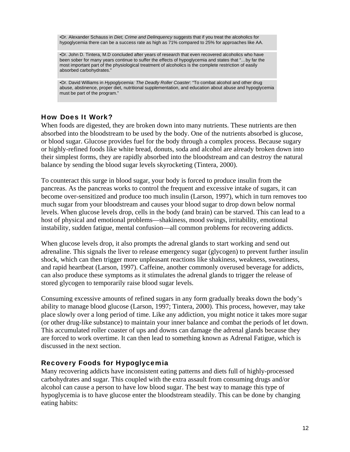•Dr. Alexander Schauss in *Diet, Crime and Delinquency* suggests that if you treat the alcoholics for hypoglycemia there can be a success rate as high as 71% compared to 25% for approaches like AA.

•Dr. John D. Tintera, M.D concluded after years of research that even recovered alcoholics who have been sober for many years continue to suffer the effects of hypoglycemia and states that "…by far the most important part of the physiological treatment of alcoholics is the complete restriction of easily absorbed carbohydrates."

•Dr. David Williams in *Hypoglycemia: The Deadly Roller Coaster*: "To combat alcohol and other drug abuse, abstinence, proper diet, nutritional supplementation, and education about abuse and hypoglycemia must be part of the program."

# How Does It Work?

When foods are digested, they are broken down into many nutrients. These nutrients are then absorbed into the bloodstream to be used by the body. One of the nutrients absorbed is glucose, or blood sugar. Glucose provides fuel for the body through a complex process. Because sugary or highly-refined foods like white bread, donuts, soda and alcohol are already broken down into their simplest forms, they are rapidly absorbed into the bloodstream and can destroy the natural balance by sending the blood sugar levels skyrocketing (Tintera, 2000).

To counteract this surge in blood sugar, your body is forced to produce insulin from the pancreas. As the pancreas works to control the frequent and excessive intake of sugars, it can become over-sensitized and produce too much insulin (Larson, 1997), which in turn removes too much sugar from your bloodstream and causes your blood sugar to drop down below normal levels. When glucose levels drop, cells in the body (and brain) can be starved. This can lead to a host of physical and emotional problems—shakiness, mood swings, irritability, emotional instability, sudden fatigue, mental confusion—all common problems for recovering addicts.

When glucose levels drop, it also prompts the adrenal glands to start working and send out adrenaline. This signals the liver to release emergency sugar (glycogen) to prevent further insulin shock, which can then trigger more unpleasant reactions like shakiness, weakness, sweatiness, and rapid heartbeat (Larson, 1997). Caffeine, another commonly overused beverage for addicts, can also produce these symptoms as it stimulates the adrenal glands to trigger the release of stored glycogen to temporarily raise blood sugar levels.

Consuming excessive amounts of refined sugars in any form gradually breaks down the body's ability to manage blood glucose (Larson, 1997; Tintera, 2000). This process, however, may take place slowly over a long period of time. Like any addiction, you might notice it takes more sugar (or other drug-like substance) to maintain your inner balance and combat the periods of let down. This accumulated roller coaster of ups and downs can damage the adrenal glands because they are forced to work overtime. It can then lead to something known as Adrenal Fatigue, which is discussed in the next section.

# Recovery Foods for Hypoglycemia

Many recovering addicts have inconsistent eating patterns and diets full of highly-processed carbohydrates and sugar. This coupled with the extra assault from consuming drugs and/or alcohol can cause a person to have low blood sugar. The best way to manage this type of hypoglycemia is to have glucose enter the bloodstream steadily. This can be done by changing eating habits: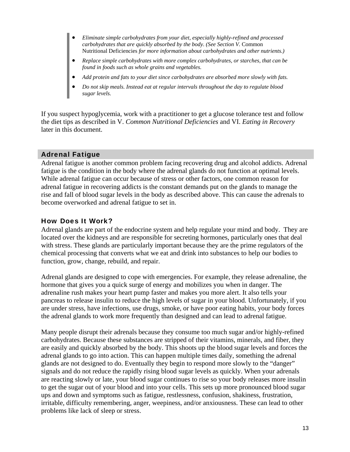- *Eliminate simple carbohydrates from your diet, especially highly-refined and processed carbohydrates that are quickly absorbed by the body. (See Section V.* Common Nutritional Deficiencies *for more information about carbohydrates and other nutrients.)*
- *Replace simple carbohydrates with more complex carbohydrates, or starches, that can be found in foods such as whole grains and vegetables.*
- *Add protein and fats to your diet since carbohydrates are absorbed more slowly with fats.*
- *Do not skip meals. Instead eat at regular intervals throughout the day to regulate blood sugar levels.*

If you suspect hypoglycemia, work with a practitioner to get a glucose tolerance test and follow the diet tips as described in V. *Common Nutritional Deficiencies* and VI. *Eating in Recovery* later in this document.

# Adrenal Fatigue

Adrenal fatigue is another common problem facing recovering drug and alcohol addicts. Adrenal fatigue is the condition in the body where the adrenal glands do not function at optimal levels. While adrenal fatigue can occur because of stress or other factors, one common reason for adrenal fatigue in recovering addicts is the constant demands put on the glands to manage the rise and fall of blood sugar levels in the body as described above. This can cause the adrenals to become overworked and adrenal fatigue to set in.

# How Does It Work?

Adrenal glands are part of the endocrine system and help regulate your mind and body. They are located over the kidneys and are responsible for secreting hormones, particularly ones that deal with stress. These glands are particularly important because they are the prime regulators of the chemical processing that converts what we eat and drink into substances to help our bodies to function, grow, change, rebuild, and repair.

Adrenal glands are designed to cope with emergencies. For example, they release adrenaline, the hormone that gives you a quick surge of energy and mobilizes you when in danger. The adrenaline rush makes your heart pump faster and makes you more alert. It also tells your pancreas to release insulin to reduce the high levels of sugar in your blood. Unfortunately, if you are under stress, have infections, use drugs, smoke, or have poor eating habits, your body forces the adrenal glands to work more frequently than designed and can lead to adrenal fatigue.

Many people disrupt their adrenals because they consume too much sugar and/or highly-refined carbohydrates. Because these substances are stripped of their vitamins, minerals, and fiber, they are easily and quickly absorbed by the body. This shoots up the blood sugar levels and forces the adrenal glands to go into action. This can happen multiple times daily, something the adrenal glands are not designed to do. Eventually they begin to respond more slowly to the "danger" signals and do not reduce the rapidly rising blood sugar levels as quickly. When your adrenals are reacting slowly or late, your blood sugar continues to rise so your body releases more insulin to get the sugar out of your blood and into your cells. This sets up more pronounced blood sugar ups and down and symptoms such as fatigue, restlessness, confusion, shakiness, frustration, irritable, difficulty remembering, anger, weepiness, and/or anxiousness. These can lead to other problems like lack of sleep or stress.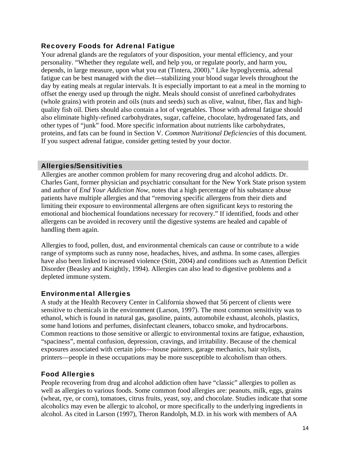# Recovery Foods for Adrenal Fatigue

Your adrenal glands are the regulators of your disposition, your mental efficiency, and your personality. "Whether they regulate well, and help you, or regulate poorly, and harm you, depends, in large measure, upon what you eat (Tintera, 2000)." Like hypoglycemia, adrenal fatigue can be best managed with the diet—stabilizing your blood sugar levels throughout the day by eating meals at regular intervals. It is especially important to eat a meal in the morning to offset the energy used up through the night. Meals should consist of unrefined carbohydrates (whole grains) with protein and oils (nuts and seeds) such as olive, walnut, fiber, flax and highquality fish oil. Diets should also contain a lot of vegetables. Those with adrenal fatigue should also eliminate highly-refined carbohydrates, sugar, caffeine, chocolate, hydrogenated fats, and other types of "junk" food. More specific information about nutrients like carbohydrates, proteins, and fats can be found in Section V. *Common Nutritional Deficiencies* of this document*.* If you suspect adrenal fatigue, consider getting tested by your doctor.

# Allergies/Sensitivities

Allergies are another common problem for many recovering drug and alcohol addicts. Dr. Charles Gant, former physician and psychiatric consultant for the New York State prison system and author of *End Your Addiction Now*, notes that a high percentage of his substance abuse patients have multiple allergies and that "removing specific allergens from their diets and limiting their exposure to environmental allergens are often significant keys to restoring the emotional and biochemical foundations necessary for recovery." If identified, foods and other allergens can be avoided in recovery until the digestive systems are healed and capable of handling them again.

Allergies to food, pollen, dust, and environmental chemicals can cause or contribute to a wide range of symptoms such as runny nose, headaches, hives, and asthma. In some cases, allergies have also been linked to increased violence (Stitt, 2004) and conditions such as Attention Deficit Disorder (Beasley and Knightly, 1994). Allergies can also lead to digestive problems and a depleted immune system.

# Environmental Allergies

A study at the Health Recovery Center in California showed that 56 percent of clients were sensitive to chemicals in the environment (Larson, 1997). The most common sensitivity was to ethanol, which is found in natural gas, gasoline, paints, automobile exhaust, alcohols, plastics, some hand lotions and perfumes, disinfectant cleaners, tobacco smoke, and hydrocarbons. Common reactions to those sensitive or allergic to environmental toxins are fatigue, exhaustion, "spaciness", mental confusion, depression, cravings, and irritability. Because of the chemical exposures associated with certain jobs—house painters, garage mechanics, hair stylists, printers—people in these occupations may be more susceptible to alcoholism than others.

# Food Allergies

People recovering from drug and alcohol addiction often have "classic" allergies to pollen as well as allergies to various foods. Some common food allergies are: peanuts, milk, eggs, grains (wheat, rye, or corn), tomatoes, citrus fruits, yeast, soy, and chocolate. Studies indicate that some alcoholics may even be allergic to alcohol, or more specifically to the underlying ingredients in alcohol. As cited in Larson (1997), Theron Randolph, M.D. in his work with members of AA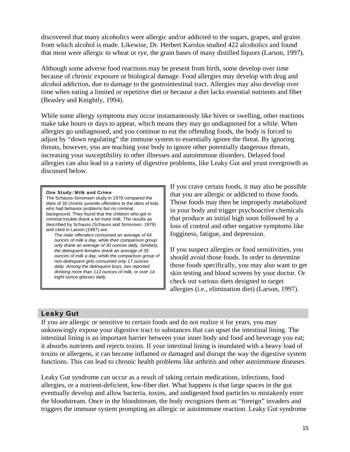discovered that many alcoholics were allergic and/or addicted to the sugars, grapes, and grains from which alcohol is made. Likewise, Dr. Herbert Karolus studied 422 alcoholics and found that most were allergic to wheat or rye, the grain bases of many distilled liquors (Larson, 1997).

Although some adverse food reactions may be present from birth, some develop over time because of chronic exposure or biological damage. Food allergies may develop with drug and alcohol addiction, due to damage to the gastrointestinal tract. Allergies may also develop over time when eating a limited or repetitive diet or because a diet lacks essential nutrients and fiber (Beasley and Knightly, 1994).

While some allergy symptoms may occur instantaneously like hives or swelling, other reactions make take hours or days to appear, which means they may go undiagnosed for a while. When allergies go undiagnosed, and you continue to eat the offending foods, the body is forced to adjust by "down regulating" the immune system to essentially ignore the threat. By ignoring threats, however, you are teaching your body to ignore other potentially dangerous threats, increasing your susceptibility to other illnesses and autoimmune disorders. Delayed food allergies can also lead to a variety of digestive problems, like Leaky Gut and yeast overgrowth as discussed below.

#### One Study: Milk and Crime

The Schauss-Simonsen study in 1978 compared the diets of 30 chronic juvenile offenders to the diets of kids who had behavior problems but no criminal background. They found that the children who got in criminal trouble drank a lot more milk. The results as described by Schauss (Schauss and Simonsen, 1979) and cited in Larson (1997) are:

*The male offenders consumed an average of 64 ounces of milk a day, while their comparison group only drank an average of 30 ounces daily. Similarly, the delinquent females drank an average of 35 ounces of milk a day, while the comparison group of non-delinquent girls consumed only 17 ounces daily. Among the delinquent boys, two reported drinking more than 113 ounces of milk, or over 14 eight ounce glasses daily.*

If you crave certain foods, it may also be possible that you are allergic or addicted to those foods. Those foods may then be improperly metabolized in your body and trigger psychoactive chemicals that produce an initial high soon followed by a loss of control and other negative symptoms like fogginess, fatigue, and depression.

If you suspect allergies or food sensitivities, you should avoid those foods. In order to determine those foods specifically, you may also want to get skin testing and blood screens by your doctor. Or check out various diets designed to target allergies (i.e., elimination diet) (Larson, 1997).

# Leaky Gut

If you are allergic or sensitive to certain foods and do not realize it for years, you may unknowingly expose your digestive tract to substances that can upset the intestinal lining. The intestinal lining is an important barrier between your inner body and food and beverage you eat; it absorbs nutrients and rejects toxins. If your intestinal lining is inundated with a heavy load of toxins or allergens, it can become inflamed or damaged and disrupt the way the digestive system functions. This can lead to chronic health problems like arthritis and other autoimmune diseases.

Leaky Gut syndrome can occur as a result of taking certain medications, infections, food allergies, or a nutrient-deficient, low-fiber diet. What happens is that large spaces in the gut eventually develop and allow bacteria, toxins, and undigested food particles to mistakenly enter the bloodstream. Once in the bloodstream, the body recognizes them as "foreign" invaders and triggers the immune system prompting an allergic or autoimmune reaction. Leaky Gut syndrome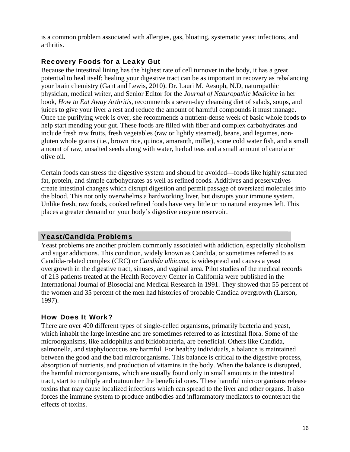is a common problem associated with allergies, gas, bloating, systematic yeast infections, and arthritis.

# Recovery Foods for a Leaky Gut

Because the intestinal lining has the highest rate of cell turnover in the body, it has a great potential to heal itself; healing your digestive tract can be as important in recovery as rebalancing your brain chemistry (Gant and Lewis, 2010). Dr. Lauri M. Aesoph, N.D, naturopathic physician, medical writer, and Senior Editor for the *Journal of Naturopathic Medicine* in her book, *How to Eat Away Arthritis,* recommends a seven-day cleansing diet of salads, soups, and juices to give your liver a rest and reduce the amount of harmful compounds it must manage. Once the purifying week is over, she recommends a nutrient-dense week of basic whole foods to help start mending your gut. These foods are filled with fiber and complex carbohydrates and include fresh raw fruits, fresh vegetables (raw or lightly steamed), beans, and legumes, nongluten whole grains (i.e., brown rice, quinoa, amaranth, millet), some cold water fish, and a small amount of raw, unsalted seeds along with water, herbal teas and a small amount of canola or olive oil.

Certain foods can stress the digestive system and should be avoided—foods like highly saturated fat, protein, and simple carbohydrates as well as refined foods. Additives and preservatives create intestinal changes which disrupt digestion and permit passage of oversized molecules into the blood. This not only overwhelms a hardworking liver, but disrupts your immune system. Unlike fresh, raw foods, cooked refined foods have very little or no natural enzymes left. This places a greater demand on your body's digestive enzyme reservoir.

# Yeast/Candida Problems

Yeast problems are another problem commonly associated with addiction, especially alcoholism and sugar addictions. This condition, widely known as Candida, or sometimes referred to as Candida-related complex (CRC) or *Candida albicans*, is widespread and causes a yeast overgrowth in the digestive tract, sinuses, and vaginal area. Pilot studies of the medical records of 213 patients treated at the Health Recovery Center in California were published in the International Journal of Biosocial and Medical Research in 1991. They showed that 55 percent of the women and 35 percent of the men had histories of probable Candida overgrowth (Larson, 1997).

# How Does It Work?

There are over 400 different types of single-celled organisms, primarily bacteria and yeast, which inhabit the large intestine and are sometimes referred to as intestinal flora. Some of the microorganisms, like acidophilus and bifidobacteria, are beneficial. Others like Candida, salmonella, and staphylococcus are harmful. For healthy individuals, a balance is maintained between the good and the bad microorganisms. This balance is critical to the digestive process, absorption of nutrients, and production of vitamins in the body. When the balance is disrupted, the harmful microorganisms, which are usually found only in small amounts in the intestinal tract, start to multiply and outnumber the beneficial ones. These harmful microorganisms release toxins that may cause localized infections which can spread to the liver and other organs. It also forces the immune system to produce antibodies and inflammatory mediators to counteract the effects of toxins.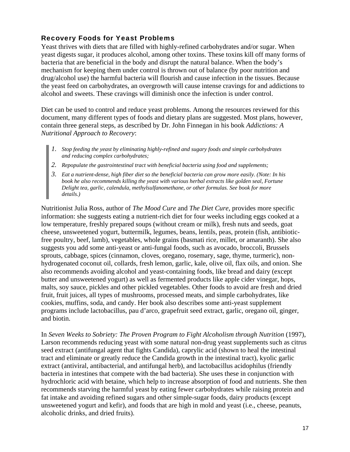# Recovery Foods for Yeast Problems

Yeast thrives with diets that are filled with highly-refined carbohydrates and/or sugar. When yeast digests sugar, it produces alcohol, among other toxins. These toxins kill off many forms of bacteria that are beneficial in the body and disrupt the natural balance. When the body's mechanism for keeping them under control is thrown out of balance (by poor nutrition and drug/alcohol use) the harmful bacteria will flourish and cause infection in the tissues. Because the yeast feed on carbohydrates, an overgrowth will cause intense cravings for and addictions to alcohol and sweets. These cravings will diminish once the infection is under control.

Diet can be used to control and reduce yeast problems. Among the resources reviewed for this document, many different types of foods and dietary plans are suggested. Most plans, however, contain three general steps, as described by Dr. John Finnegan in his book *Addictions: A Nutritional Approach to Recovery*:

- *1. Stop feeding the yeast by eliminating highly-refined and sugary foods and simple carbohydrates and reducing complex carbohydrates;*
- *2. Repopulate the gastrointestinal tract with beneficial bacteria using food and supplements;*
- *3. Eat a nutrient-dense, high fiber diet so the beneficial bacteria can grow more easily. (Note: In his book he also recommends killing the yeast with various herbal extracts like golden seal, Fortune Delight tea, garlic, calendula, methylsulfanomethane, or other formulas. See book for more details.)*

Nutritionist Julia Ross, author of *The Mood Cure* and *The Diet Cure*, provides more specific information: she suggests eating a nutrient-rich diet for four weeks including eggs cooked at a low temperature, freshly prepared soups (without cream or milk), fresh nuts and seeds, goat cheese, unsweetened yogurt, buttermilk, legumes, beans, lentils, peas, protein (fish, antibioticfree poultry, beef, lamb), vegetables, whole grains (basmati rice, millet, or amaranth). She also suggests you add some anti-yeast or anti-fungal foods, such as avocado, broccoli, Brussels sprouts, cabbage, spices (cinnamon, cloves, oregano, rosemary, sage, thyme, turmeric), nonhydrogenated coconut oil, collards, fresh lemon, garlic, kale, olive oil, flax oils, and onion. She also recommends avoiding alcohol and yeast-containing foods, like bread and dairy (except butter and unsweetened yogurt) as well as fermented products like apple cider vinegar, hops, malts, soy sauce, pickles and other pickled vegetables. Other foods to avoid are fresh and dried fruit, fruit juices, all types of mushrooms, processed meats, and simple carbohydrates, like cookies, muffins, soda, and candy. Her book also describes some anti-yeast supplement programs include lactobacillus, pau d'arco, grapefruit seed extract, garlic, oregano oil, ginger, and biotin.

In *Seven Weeks to Sobriety: The Proven Program to Fight Alcoholism through Nutrition* (1997), Larson recommends reducing yeast with some natural non-drug yeast supplements such as citrus seed extract (antifungal agent that fights Candida), caprylic acid (shown to heal the intestinal tract and eliminate or greatly reduce the Candida growth in the intestinal tract), kyolic garlic extract (antiviral, antibacterial, and antifungal herb), and lactobacillus acidophilus (friendly bacteria in intestines that compete with the bad bacteria). She uses these in conjunction with hydrochloric acid with betaine, which help to increase absorption of food and nutrients. She then recommends starving the harmful yeast by eating fewer carbohydrates while raising protein and fat intake and avoiding refined sugars and other simple-sugar foods, dairy products (except unsweetened yogurt and kefir), and foods that are high in mold and yeast (i.e., cheese, peanuts, alcoholic drinks, and dried fruits).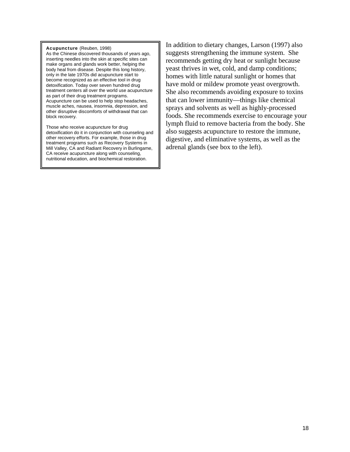#### Acupuncture (Reuben, 1998)

As the Chinese discovered thousands of years ago, inserting needles into the skin at specific sites can make organs and glands work better, helping the body heal from disease. Despite this long history, only in the late 1970s did acupuncture start to become recognized as an effective tool in drug detoxification. Today over seven hundred drug treatment centers all over the world use acupuncture as part of their drug treatment programs. Acupuncture can be used to help stop headaches, muscle aches, nausea, insomnia, depression, and other disruptive discomforts of withdrawal that can block recovery.

Those who receive acupuncture for drug detoxification do it in conjunction with counseling and other recovery efforts. For example, those in drug treatment programs such as Recovery Systems in Mill Valley, CA and Radiant Recovery in Burlingame, CA receive acupuncture along with counseling, nutritional education, and biochemical restoration.

In addition to dietary changes, Larson (1997) also suggests strengthening the immune system. She recommends getting dry heat or sunlight because yeast thrives in wet, cold, and damp conditions; homes with little natural sunlight or homes that have mold or mildew promote yeast overgrowth. She also recommends avoiding exposure to toxins that can lower immunity—things like chemical sprays and solvents as well as highly-processed foods. She recommends exercise to encourage your lymph fluid to remove bacteria from the body. She also suggests acupuncture to restore the immune, digestive, and eliminative systems, as well as the adrenal glands (see box to the left).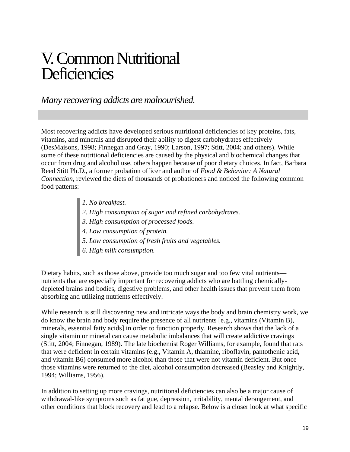# V. Common Nutritional **Deficiencies**

# *Many recovering addicts are malnourished.*

Most recovering addicts have developed serious nutritional deficiencies of key proteins, fats, vitamins, and minerals and disrupted their ability to digest carbohydrates effectively (DesMaisons, 1998; Finnegan and Gray, 1990; Larson, 1997; Stitt, 2004; and others). While some of these nutritional deficiencies are caused by the physical and biochemical changes that occur from drug and alcohol use, others happen because of poor dietary choices. In fact, Barbara Reed Stitt Ph.D., a former probation officer and author of *Food & Behavior: A Natural Connection,* reviewed the diets of thousands of probationers and noticed the following common food patterns:

- *1. No breakfast.*
- *2. High consumption of sugar and refined carbohydrates.*
- *3. High consumption of processed foods.*
- *4. Low consumption of protein.*
- *5. Low consumption of fresh fruits and vegetables.*
- *6. High milk consumption.*

Dietary habits, such as those above, provide too much sugar and too few vital nutrients nutrients that are especially important for recovering addicts who are battling chemicallydepleted brains and bodies, digestive problems, and other health issues that prevent them from absorbing and utilizing nutrients effectively.

While research is still discovering new and intricate ways the body and brain chemistry work, we do know the brain and body require the presence of all nutrients [e.g., vitamins (Vitamin B), minerals, essential fatty acids] in order to function properly. Research shows that the lack of a single vitamin or mineral can cause metabolic imbalances that will create addictive cravings (Stitt, 2004; Finnegan, 1989). The late biochemist Roger Williams, for example, found that rats that were deficient in certain vitamins (e.g., Vitamin A, thiamine, riboflavin, pantothenic acid, and vitamin B6) consumed more alcohol than those that were not vitamin deficient. But once those vitamins were returned to the diet, alcohol consumption decreased (Beasley and Knightly, 1994; Williams, 1956).

In addition to setting up more cravings, nutritional deficiencies can also be a major cause of withdrawal-like symptoms such as fatigue, depression, irritability, mental derangement, and other conditions that block recovery and lead to a relapse. Below is a closer look at what specific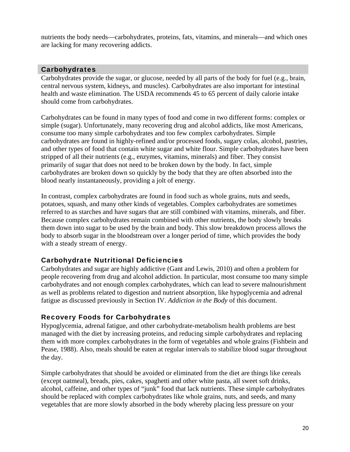nutrients the body needs—carbohydrates, proteins, fats, vitamins, and minerals—and which ones are lacking for many recovering addicts.

#### **Carbohydrates**

Carbohydrates provide the sugar, or glucose, needed by all parts of the body for fuel (e.g., brain, central nervous system, kidneys, and muscles). Carbohydrates are also important for intestinal health and waste elimination. The USDA recommends 45 to 65 percent of daily calorie intake should come from carbohydrates.

Carbohydrates can be found in many types of food and come in two different forms: complex or simple (sugar). Unfortunately, many recovering drug and alcohol addicts, like most Americans, consume too many simple carbohydrates and too few complex carbohydrates. Simple carbohydrates are found in highly-refined and/or processed foods, sugary colas, alcohol, pastries, and other types of food that contain white sugar and white flour. Simple carbohydrates have been stripped of all their nutrients (e.g., enzymes, vitamins, minerals) and fiber. They consist primarily of sugar that does not need to be broken down by the body. In fact, simple carbohydrates are broken down so quickly by the body that they are often absorbed into the blood nearly instantaneously, providing a jolt of energy.

In contrast, complex carbohydrates are found in food such as whole grains, nuts and seeds, potatoes, squash, and many other kinds of vegetables. Complex carbohydrates are sometimes referred to as starches and have sugars that are still combined with vitamins, minerals, and fiber. Because complex carbohydrates remain combined with other nutrients, the body slowly breaks them down into sugar to be used by the brain and body. This slow breakdown process allows the body to absorb sugar in the bloodstream over a longer period of time, which provides the body with a steady stream of energy.

# Carbohydrate Nutritional Deficiencies

Carbohydrates and sugar are highly addictive (Gant and Lewis, 2010) and often a problem for people recovering from drug and alcohol addiction. In particular, most consume too many simple carbohydrates and not enough complex carbohydrates, which can lead to severe malnourishment as well as problems related to digestion and nutrient absorption, like hypoglycemia and adrenal fatigue as discussed previously in Section IV. *Addiction in the Body* of this document.

# Recovery Foods for Carbohydrates

Hypoglycemia, adrenal fatigue, and other carbohydrate-metabolism health problems are best managed with the diet by increasing proteins, and reducing simple carbohydrates and replacing them with more complex carbohydrates in the form of vegetables and whole grains (Fishbein and Pease, 1988). Also, meals should be eaten at regular intervals to stabilize blood sugar throughout the day.

Simple carbohydrates that should be avoided or eliminated from the diet are things like cereals (except oatmeal), breads, pies, cakes, spaghetti and other white pasta, all sweet soft drinks, alcohol, caffeine, and other types of "junk" food that lack nutrients. These simple carbohydrates should be replaced with complex carbohydrates like whole grains, nuts, and seeds, and many vegetables that are more slowly absorbed in the body whereby placing less pressure on your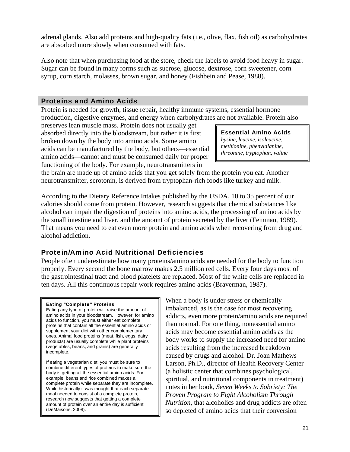adrenal glands. Also add proteins and high-quality fats (i.e., olive, flax, fish oil) as carbohydrates are absorbed more slowly when consumed with fats.

Also note that when purchasing food at the store, check the labels to avoid food heavy in sugar. Sugar can be found in many forms such as sucrose, glucose, dextrose, corn sweetener, corn syrup, corn starch, molasses, brown sugar, and honey (Fishbein and Pease, 1988).

#### Proteins and Amino Acids

Protein is needed for growth, tissue repair, healthy immune systems, essential hormone production, digestive enzymes, and energy when carbohydrates are not available. Protein also

preserves lean muscle mass. Protein does not usually get absorbed directly into the bloodstream, but rather it is first broken down by the body into amino acids. Some amino acids can be manufactured by the body, but others—essential amino acids—cannot and must be consumed daily for proper functioning of the body. For example, neurotransmitters in

# Essential Amino Acids

*hysine, leucine, isoleucine, methionine, phenylalanine, threonine, tryptophan, valine* 

the brain are made up of amino acids that you get solely from the protein you eat. Another neurotransmitter, serotonin, is derived from tryptophan-rich foods like turkey and milk.

According to the Dietary Reference Intakes published by the USDA, 10 to 35 percent of our calories should come from protein. However, research suggests that chemical substances like alcohol can impair the digestion of proteins into amino acids, the processing of amino acids by the small intestine and liver, and the amount of protein secreted by the liver (Feinman, 1989). That means you need to eat even more protein and amino acids when recovering from drug and alcohol addiction.

# Protein/Amino Acid Nutritional Deficiencies

People often underestimate how many proteins/amino acids are needed for the body to function properly. Every second the bone marrow makes 2.5 million red cells. Every four days most of the gastrointestinal tract and blood platelets are replaced. Most of the white cells are replaced in ten days. All this continuous repair work requires amino acids (Braverman, 1987).

#### Eating "Complete" Proteins

Eating any type of protein will raise the amount of amino acids in your bloodstream. However, for amino acids to function, you must either eat complete proteins that contain all the essential amino acids or supplement your diet with other complementary ones. Animal food proteins (meat, fish, eggs, dairy products) are usually complete while plant proteins (vegetables, beans, and grains) are generally incomplete.

If eating a vegetarian diet, you must be sure to combine different types of proteins to make sure the body is getting all the essential amino acids. For example, beans and rice combined makes a complete protein while separate they are incomplete. While historically it was thought that each separate meal needed to consist of a complete protein, research now suggests that getting a complete amount of protein over an entire day is sufficient (DeMaisons, 2008).

When a body is under stress or chemically imbalanced, as is the case for most recovering addicts, even more protein/amino acids are required than normal. For one thing, nonessential amino acids may become essential amino acids as the body works to supply the increased need for amino acids resulting from the increased breakdown caused by drugs and alcohol. Dr. Joan Mathews Larson, Ph.D., director of Health Recovery Center (a holistic center that combines psychological, spiritual, and nutritional components in treatment) notes in her book, *Seven Weeks to Sobriety: The Proven Program to Fight Alcoholism Through Nutrition,* that alcoholics and drug addicts are often so depleted of amino acids that their conversion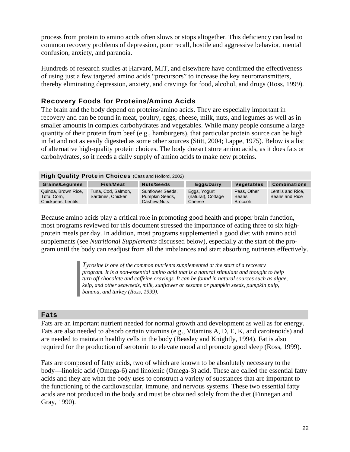process from protein to amino acids often slows or stops altogether. This deficiency can lead to common recovery problems of depression, poor recall, hostile and aggressive behavior, mental confusion, anxiety, and paranoia.

Hundreds of research studies at Harvard, MIT, and elsewhere have confirmed the effectiveness of using just a few targeted amino acids "precursors" to increase the key neurotransmitters, thereby eliminating depression, anxiety, and cravings for food, alcohol, and drugs (Ross, 1999).

# Recovery Foods for Proteins/Amino Acids

The brain and the body depend on proteins/amino acids. They are especially important in recovery and can be found in meat, poultry, eggs, cheese, milk, nuts, and legumes as well as in smaller amounts in complex carbohydrates and vegetables. While many people consume a large quantity of their protein from beef (e.g., hamburgers), that particular protein source can be high in fat and not as easily digested as some other sources (Stitt, 2004; Lappe, 1975). Below is a list of alternative high-quality protein choices. The body doesn't store amino acids, as it does fats or carbohydrates, so it needs a daily supply of amino acids to make new proteins.

| <b>High Quality Protein Choices</b> (Cass and Holford, 2002) |                                         |                                                          |                                              |                                          |                                     |
|--------------------------------------------------------------|-----------------------------------------|----------------------------------------------------------|----------------------------------------------|------------------------------------------|-------------------------------------|
| <b>Grains/Legumes</b>                                        | <b>Fish/Meat</b>                        | <b>Nuts/Seeds</b>                                        | Eggs/Dairy                                   | <b>Vegetables</b>                        | <b>Combinations</b>                 |
| Quinoa, Brown Rice,<br>Tofu, Corn,<br>Chickpeas, Lentils     | Tuna, Cod, Salmon,<br>Sardines, Chicken | Sunflower Seeds,<br>Pumpkin Seeds,<br><b>Cashew Nuts</b> | Eggs, Yogurt<br>(natural), Cottage<br>Cheese | Peas. Other<br>Beans.<br><b>Broccoli</b> | Lentils and Rice.<br>Beans and Rice |

Because amino acids play a critical role in promoting good health and proper brain function, most programs reviewed for this document stressed the importance of eating three to six highprotein meals per day. In addition, most programs supplemented a good diet with amino acid supplements (see *Nutritional Supplements* discussed below), especially at the start of the program until the body can readjust from all the imbalances and start absorbing nutrients effectively.

> *Tyrosine is one of the common nutrients supplemented at the start of a recovery program. It is a non-essential amino acid that is a natural stimulant and thought to help turn off chocolate and caffeine cravings. It can be found in natural sources such as algae, kelp, and other seaweeds, milk, sunflower or sesame or pumpkin seeds, pumpkin pulp, banana, and turkey (Ross, 1999).*

# Fats

Fats are an important nutrient needed for normal growth and development as well as for energy. Fats are also needed to absorb certain vitamins (e.g., Vitamins A, D, E, K, and carotenoids) and are needed to maintain healthy cells in the body (Beasley and Knightly, 1994). Fat is also required for the production of serotonin to elevate mood and promote good sleep (Ross, 1999).

Fats are composed of fatty acids, two of which are known to be absolutely necessary to the body—linoleic acid (Omega-6) and linolenic (Omega-3) acid. These are called the essential fatty acids and they are what the body uses to construct a variety of substances that are important to the functioning of the cardiovascular, immune, and nervous systems. These two essential fatty acids are not produced in the body and must be obtained solely from the diet (Finnegan and Gray, 1990).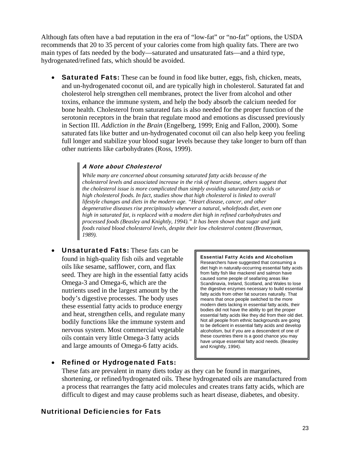Although fats often have a bad reputation in the era of "low-fat" or "no-fat" options, the USDA recommends that 20 to 35 percent of your calories come from high quality fats. There are two main types of fats needed by the body—saturated and unsaturated fats—and a third type, hydrogenated/refined fats, which should be avoided.

• **Saturated Fats:** These can be found in food like butter, eggs, fish, chicken, meats, and un-hydrogenated coconut oil, and are typically high in cholesterol. Saturated fat and cholesterol help strengthen cell membranes, protect the liver from alcohol and other toxins, enhance the immune system, and help the body absorb the calcium needed for bone health. Cholesterol from saturated fats is also needed for the proper function of the serotonin receptors in the brain that regulate mood and emotions as discussed previously in Section III. *Addiction in the Brain* (Engelberg, 1999; Enig and Fallon, 2000). Some saturated fats like butter and un-hydrogenated coconut oil can also help keep you feeling full longer and stabilize your blood sugar levels because they take longer to burn off than other nutrients like carbohydrates (Ross, 1999).

#### A Note about Cholesterol

*While many are concerned about consuming saturated fatty acids because of the cholesterol levels and associated increase in the risk of heart disease, others suggest that the cholesterol issue is more complicated than simply avoiding saturated fatty acids or high cholesterol foods. In fact, studies show that high cholesterol is linked to overall lifestyle changes and diets in the modern age. "Heart disease, cancer, and other degenerative diseases rise precipitously whenever a natural, wholefoods diet, even one high in saturated fat, is replaced with a modern diet high in refined carbohydrates and processed foods (Beasley and Knightly, 1994)." It has been shown that sugar and junk foods raised blood cholesterol levels, despite their low cholesterol content (Braverman, 1989).* 

 Unsaturated Fats**:** These fats can be found in high-quality fish oils and vegetable oils like sesame, safflower, corn, and flax seed. They are high in the essential fatty acids Omega-3 and Omega-6, which are the nutrients used in the largest amount by the body's digestive processes. The body uses these essential fatty acids to produce energy and heat, strengthen cells, and regulate many bodily functions like the immune system and nervous system. Most commercial vegetable oils contain very little Omega-3 fatty acids and large amounts of Omega-6 fatty acids.

Essential Fatty Acids and Alcoholism Researchers have suggested that consuming a diet high in naturally-occurring essential fatty acids from fatty fish like mackerel and salmon have caused some people of seafaring areas like Scandinavia, Ireland, Scotland, and Wales to lose the digestive enzymes necessary to build essential fatty acids from other fat sources naturally. That means that once people switched to the more modern diets lacking in essential fatty acids, their bodies did not have the ability to get the proper essential fatty acids like they did from their old diet. Not all people from ethnic backgrounds are going to be deficient in essential fatty acids and develop alcoholism, but if you are a descendent of one of these countries there is a good chance you may have unique essential fatty acid needs. (Beasley and Knightly, 1994).

# Refined or Hydrogenated Fats**:**

These fats are prevalent in many diets today as they can be found in margarines, shortening, or refined/hydrogenated oils. These hydrogenated oils are manufactured from a process that rearranges the fatty acid molecules and creates trans fatty acids, which are difficult to digest and may cause problems such as heart disease, diabetes, and obesity.

# Nutritional Deficiencies for Fats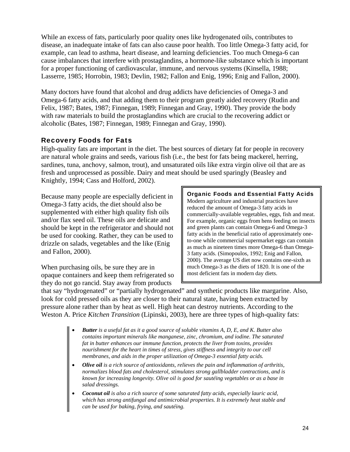While an excess of fats, particularly poor quality ones like hydrogenated oils, contributes to disease, an inadequate intake of fats can also cause poor health. Too little Omega-3 fatty acid, for example, can lead to asthma, heart disease, and learning deficiencies. Too much Omega-6 can cause imbalances that interfere with prostaglandins, a hormone-like substance which is important for a proper functioning of cardiovascular, immune, and nervous systems (Kinsella, 1988; Lasserre, 1985; Horrobin, 1983; Devlin, 1982; Fallon and Enig, 1996; Enig and Fallon, 2000).

Many doctors have found that alcohol and drug addicts have deficiencies of Omega-3 and Omega-6 fatty acids, and that adding them to their program greatly aided recovery (Rudin and Felix, 1987; Bates, 1987; Finnegan, 1989; Finnegan and Gray, 1990). They provide the body with raw materials to build the prostaglandins which are crucial to the recovering addict or alcoholic (Bates, 1987; Finnegan, 1989; Finnegan and Gray, 1990).

# Recovery Foods for Fats

High-quality fats are important in the diet. The best sources of dietary fat for people in recovery are natural whole grains and seeds, various fish (i.e., the best for fats being mackerel, herring, sardines, tuna, anchovy, salmon, trout), and unsaturated oils like extra virgin olive oil that are as fresh and unprocessed as possible. Dairy and meat should be used sparingly (Beasley and Knightly, 1994; Cass and Holford, 2002).

Because many people are especially deficient in Omega-3 fatty acids, the diet should also be supplemented with either high quality fish oils and/or flax seed oil. These oils are delicate and should be kept in the refrigerator and should not be used for cooking. Rather, they can be used to drizzle on salads, vegetables and the like (Enig and Fallon, 2000).

When purchasing oils, be sure they are in opaque containers and keep them refrigerated so they do not go rancid. Stay away from products

Organic Foods and Essential Fatty Acids Modern agriculture and industrial practices have reduced the amount of Omega-3 fatty acids in commercially-available vegetables, eggs, fish and meat. For example, organic eggs from hens feeding on insects and green plants can contain Omega-6 and Omega-3 fatty acids in the beneficial ratio of approximately oneto-one while commercial supermarket eggs can contain as much as nineteen times more Omega-6 than Omega-3 fatty acids. (Simopoulos, 1992; Enig and Fallon, 2000). The average US diet now contains one-sixth as

much Omega-3 as the diets of 1820. It is one of the most deficient fats in modern day diets.

that say "hydrogenated" or "partially hydrogenated" and synthetic products like margarine. Also, look for cold pressed oils as they are closer to their natural state, having been extracted by pressure alone rather than by heat as well. High heat can destroy nutrients. According to the Weston A. Price *Kitchen Transition* (Lipinski, 2003), here are three types of high-quality fats:

- *Butter is a useful fat as it a good source of soluble vitamins A, D, E, and K. Butter also contains important minerals like manganese, zinc, chromium, and iodine. The saturated fat in butter enhances our immune function, protects the liver from toxins, provides nourishment for the heart in times of stress, gives stiffness and integrity to our cell membranes, and aids in the proper utilization of Omega-3 essential fatty acids.*
- *Olive oil is a rich source of antioxidants, relieves the pain and inflammation of arthritis, normalizes blood fats and cholesterol, stimulates strong gallbladder contractions, and is known for increasing longevity. Olive oil is good for sautéing vegetables or as a base in salad dressings.*
- *Coconut oil is also a rich source of some saturated fatty acids, especially lauric acid, which has strong antifungal and antimicrobial properties. It is extremely heat stable and can be used for baking, frying, and sautéing.*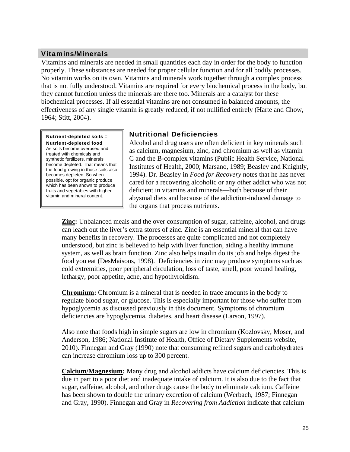#### Vitamins/Minerals

Vitamins and minerals are needed in small quantities each day in order for the body to function properly. These substances are needed for proper cellular function and for all bodily processes. No vitamin works on its own. Vitamins and minerals work together through a complex process that is not fully understood. Vitamins are required for every biochemical process in the body, but they cannot function unless the minerals are there too. Minerals are a catalyst for these biochemical processes. If all essential vitamins are not consumed in balanced amounts, the effectiveness of any single vitamin is greatly reduced, if not nullified entirely (Harte and Chow, 1964; Stitt, 2004).

#### Nutrient-depleted soils = Nutrient-depleted food

As soils become overused and treated with chemicals and synthetic fertilizers, minerals become depleted. That means that the food growing in those soils also becomes depleted. So when possible, opt for organic produce which has been shown to produce fruits and vegetables with higher vitamin and mineral content.

# Nutritional Deficiencies

Alcohol and drug users are often deficient in key minerals such as calcium, magnesium, zinc, and chromium as well as vitamin C and the B-complex vitamins (Public Health Service, National Institutes of Health, 2000; Marsano, 1989; Beasley and Knightly, 1994). Dr. Beasley in *Food for Recovery* notes that he has never cared for a recovering alcoholic or any other addict who was not deficient in vitamins and minerals—both because of their abysmal diets and because of the addiction-induced damage to the organs that process nutrients.

**Zinc:** Unbalanced meals and the over consumption of sugar, caffeine, alcohol, and drugs can leach out the liver's extra stores of zinc. Zinc is an essential mineral that can have many benefits in recovery. The processes are quite complicated and not completely understood, but zinc is believed to help with liver function, aiding a healthy immune system, as well as brain function. Zinc also helps insulin do its job and helps digest the food you eat (DesMaisons, 1998). Deficiencies in zinc may produce symptoms such as cold extremities, poor peripheral circulation, loss of taste, smell, poor wound healing, lethargy, poor appetite, acne, and hypothyroidism.

**Chromium:** Chromium is a mineral that is needed in trace amounts in the body to regulate blood sugar, or glucose. This is especially important for those who suffer from hypoglycemia as discussed previously in this document. Symptoms of chromium deficiencies are hypoglycemia, diabetes, and heart disease (Larson, 1997).

Also note that foods high in simple sugars are low in chromium (Kozlovsky, Moser, and Anderson, 1986; National Institute of Health, Office of Dietary Supplements website, 2010). Finnegan and Gray (1990) note that consuming refined sugars and carbohydrates can increase chromium loss up to 300 percent.

**Calcium/Magnesium:** Many drug and alcohol addicts have calcium deficiencies. This is due in part to a poor diet and inadequate intake of calcium. It is also due to the fact that sugar, caffeine, alcohol, and other drugs cause the body to eliminate calcium. Caffeine has been shown to double the urinary excretion of calcium (Werbach, 1987; Finnegan and Gray, 1990). Finnegan and Gray in *Recovering from Addiction* indicate that calcium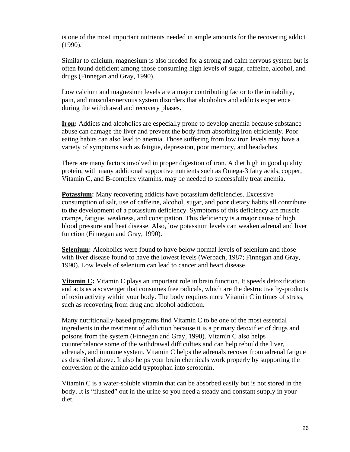is one of the most important nutrients needed in ample amounts for the recovering addict (1990).

Similar to calcium, magnesium is also needed for a strong and calm nervous system but is often found deficient among those consuming high levels of sugar, caffeine, alcohol, and drugs (Finnegan and Gray, 1990).

Low calcium and magnesium levels are a major contributing factor to the irritability, pain, and muscular/nervous system disorders that alcoholics and addicts experience during the withdrawal and recovery phases.

**Iron:** Addicts and alcoholics are especially prone to develop anemia because substance abuse can damage the liver and prevent the body from absorbing iron efficiently. Poor eating habits can also lead to anemia. Those suffering from low iron levels may have a variety of symptoms such as fatigue, depression, poor memory, and headaches.

There are many factors involved in proper digestion of iron. A diet high in good quality protein, with many additional supportive nutrients such as Omega-3 fatty acids, copper, Vitamin C, and B-complex vitamins, may be needed to successfully treat anemia.

**Potassium:** Many recovering addicts have potassium deficiencies. Excessive consumption of salt, use of caffeine, alcohol, sugar, and poor dietary habits all contribute to the development of a potassium deficiency. Symptoms of this deficiency are muscle cramps, fatigue, weakness, and constipation. This deficiency is a major cause of high blood pressure and heat disease. Also, low potassium levels can weaken adrenal and liver function (Finnegan and Gray, 1990).

**Selenium:** Alcoholics were found to have below normal levels of selenium and those with liver disease found to have the lowest levels (Werbach, 1987; Finnegan and Gray, 1990). Low levels of selenium can lead to cancer and heart disease.

**Vitamin C:** Vitamin C plays an important role in brain function. It speeds detoxification and acts as a scavenger that consumes free radicals, which are the destructive by-products of toxin activity within your body. The body requires more Vitamin C in times of stress, such as recovering from drug and alcohol addiction.

Many nutritionally-based programs find Vitamin C to be one of the most essential ingredients in the treatment of addiction because it is a primary detoxifier of drugs and poisons from the system (Finnegan and Gray, 1990). Vitamin C also helps counterbalance some of the withdrawal difficulties and can help rebuild the liver, adrenals, and immune system. Vitamin C helps the adrenals recover from adrenal fatigue as described above. It also helps your brain chemicals work properly by supporting the conversion of the amino acid tryptophan into serotonin.

Vitamin C is a water-soluble vitamin that can be absorbed easily but is not stored in the body. It is "flushed" out in the urine so you need a steady and constant supply in your diet.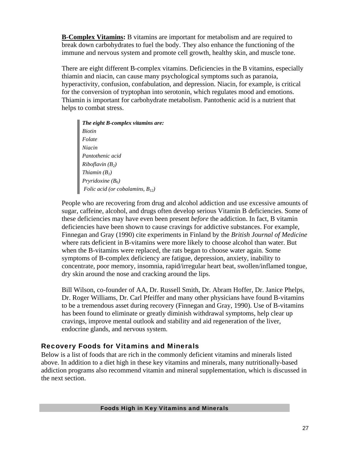**B-Complex Vitamins:** B vitamins are important for metabolism and are required to break down carbohydrates to fuel the body. They also enhance the functioning of the immune and nervous system and promote cell growth, healthy skin, and muscle tone.

There are eight different B-complex vitamins. Deficiencies in the B vitamins, especially thiamin and niacin, can cause many psychological symptoms such as paranoia, hyperactivity, confusion, confabulation, and depression. Niacin, for example, is critical for the conversion of tryptophan into serotonin, which regulates mood and emotions. Thiamin is important for carbohydrate metabolism. Pantothenic acid is a nutrient that helps to combat stress.

*The eight B-complex vitamins are: Biotin Folate Niacin Pantothenic acid Riboflavin* (*B*<sub>2</sub>) *Thiamin (B1) Pryridoxine (B6) Folic acid (or cobalamins, B12)* 

People who are recovering from drug and alcohol addiction and use excessive amounts of sugar, caffeine, alcohol, and drugs often develop serious Vitamin B deficiencies. Some of these deficiencies may have even been present *before* the addiction. In fact, B vitamin deficiencies have been shown to cause cravings for addictive substances. For example, Finnegan and Gray (1990) cite experiments in Finland by the *British Journal of Medicine* where rats deficient in B-vitamins were more likely to choose alcohol than water. But when the B-vitamins were replaced, the rats began to choose water again. Some symptoms of B-complex deficiency are fatigue, depression, anxiety, inability to concentrate, poor memory, insomnia, rapid/irregular heart beat, swollen/inflamed tongue, dry skin around the nose and cracking around the lips.

Bill Wilson, co-founder of AA, Dr. Russell Smith, Dr. Abram Hoffer, Dr. Janice Phelps, Dr. Roger Williams, Dr. Carl Pfeiffer and many other physicians have found B-vitamins to be a tremendous asset during recovery (Finnegan and Gray, 1990). Use of B-vitamins has been found to eliminate or greatly diminish withdrawal symptoms, help clear up cravings, improve mental outlook and stability and aid regeneration of the liver, endocrine glands, and nervous system.

# Recovery Foods for Vitamins and Minerals

Below is a list of foods that are rich in the commonly deficient vitamins and minerals listed above. In addition to a diet high in these key vitamins and minerals, many nutritionally-based addiction programs also recommend vitamin and mineral supplementation, which is discussed in the next section.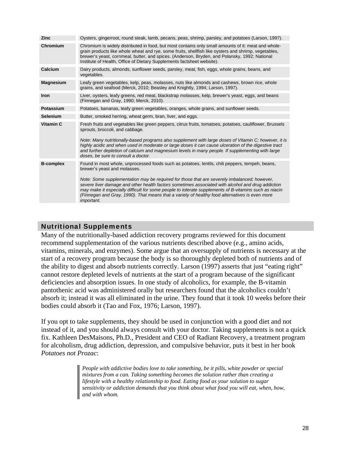| <b>Zinc</b>      | Oysters, gingerroot, round steak, lamb, pecans, peas, shrimp, parsley, and potatoes (Larson, 1997).                                                                                                                                                                                                                                                                                                                                                                                                                                                                 |
|------------------|---------------------------------------------------------------------------------------------------------------------------------------------------------------------------------------------------------------------------------------------------------------------------------------------------------------------------------------------------------------------------------------------------------------------------------------------------------------------------------------------------------------------------------------------------------------------|
| Chromium         | Chromium is widely distributed in food, but most contains only small amounts of it: meat and whole-<br>grain products like whole wheat and rye, some fruits, shellfish like oysters and shrimp, vegetables,<br>brewer's yeast, cornmeal, butter, and spices. (Anderson, Bryden, and Polansky, 1992; National<br>Institute of Health, Office of Dietary Supplements factsheet website).                                                                                                                                                                              |
| Calcium          | Dairy products, almonds, sunflower seeds, parsley, meat, fish, eggs, whole grains, beans, and<br>vegetables.                                                                                                                                                                                                                                                                                                                                                                                                                                                        |
| <b>Magnesium</b> | Leafy green vegetables, kelp, peas, molasses, nuts like almonds and cashews, brown rice, whole<br>grains, and seafood (Merck, 2010; Beasley and Knightly, 1994; Larson, 1997).                                                                                                                                                                                                                                                                                                                                                                                      |
| Iron             | Liver, oysters, leafy greens, red meat, blackstrap molasses, kelp, brewer's yeast, eggs, and beans<br>(Finnegan and Gray, 1990; Merck, 2010).                                                                                                                                                                                                                                                                                                                                                                                                                       |
| Potassium        | Potatoes, bananas, leafy green vegetables, oranges, whole grains, and sunflower seeds.                                                                                                                                                                                                                                                                                                                                                                                                                                                                              |
| <b>Selenium</b>  | Butter, smoked herring, wheat germ, bran, liver, and eggs.                                                                                                                                                                                                                                                                                                                                                                                                                                                                                                          |
| Vitamin C        | Fresh fruits and vegetables like green peppers, citrus fruits, tomatoes, potatoes, cauliflower, Brussels<br>sprouts, broccoli, and cabbage.<br>Note: Many nutritionally-based programs also supplement with large doses of Vitamin C; however, it is<br>highly acidic and when used in moderate or large doses it can cause ulceration of the digestive tract<br>and further depletion of calcium and magnesium levels in many people. If supplementing with large<br>doses, be sure to consult a doctor.                                                           |
| <b>B-complex</b> | Found in most whole, unprocessed foods such as potatoes, lentils, chili peppers, tempeh, beans,<br>brewer's yeast and molasses.<br>Note: Some supplementation may be required for those that are severely imbalanced; however,<br>severe liver damage and other health factors sometimes associated with alcohol and drug addiction<br>may make it especially difficult for some people to tolerate supplements of B-vitamins such as niacin<br>(Finnegan and Gray, 1990). That means that a variety of healthy food alternatives is even more<br><i>important.</i> |

# Nutritional Supplements

Many of the nutritionally-based addiction recovery programs reviewed for this document recommend supplementation of the various nutrients described above (e.g., amino acids, vitamins, minerals, and enzymes). Some argue that an oversupply of nutrients is necessary at the start of a recovery program because the body is so thoroughly depleted both of nutrients and of the ability to digest and absorb nutrients correctly. Larson (1997) asserts that just "eating right" cannot restore depleted levels of nutrients at the start of a program because of the significant deficiencies and absorption issues. In one study of alcoholics, for example, the B-vitamin pantothenic acid was administered orally but researchers found that the alcoholics couldn't absorb it; instead it was all eliminated in the urine. They found that it took 10 weeks before their bodies could absorb it (Tao and Fox, 1976; Larson, 1997).

If you opt to take supplements, they should be used in conjunction with a good diet and not instead of it, and you should always consult with your doctor. Taking supplements is not a quick fix. Kathleen DesMaisons, Ph.D., President and CEO of Radiant Recovery, a treatment program for alcoholism, drug addiction, depression, and compulsive behavior, puts it best in her book *Potatoes not Prozac*:

> *People with addictive bodies love to take something, be it pills, white powder or special mixtures from a can. Taking something becomes the solution rather than creating a lifestyle with a healthy relationship to food. Eating food as your solution to sugar sensitivity or addiction demands that you think about what food you will eat, when, how, and with whom.*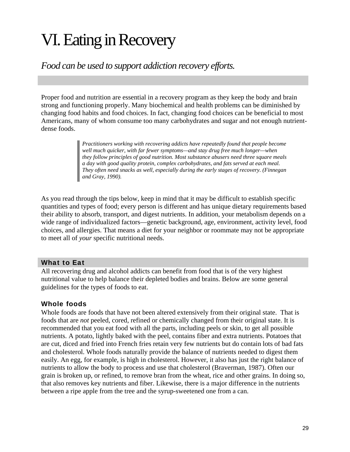# VI. Eating in Recovery

*Food can be used to support addiction recovery efforts.* 

Proper food and nutrition are essential in a recovery program as they keep the body and brain strong and functioning properly. Many biochemical and health problems can be diminished by changing food habits and food choices. In fact, changing food choices can be beneficial to most Americans, many of whom consume too many carbohydrates and sugar and not enough nutrientdense foods.

> *Practitioners working with recovering addicts have repeatedly found that people become well much quicker, with far fewer symptoms—and stay drug free much longer—when they follow principles of good nutrition. Most substance abusers need three square meals a day with good quality protein, complex carbohydrates, and fats served at each meal. They often need snacks as well, especially during the early stages of recovery. (Finnegan and Gray, 1990).*

As you read through the tips below, keep in mind that it may be difficult to establish specific quantities and types of food; every person is different and has unique dietary requirements based their ability to absorb, transport, and digest nutrients. In addition, your metabolism depends on a wide range of individualized factors—genetic background, age, environment, activity level, food choices, and allergies. That means a diet for your neighbor or roommate may not be appropriate to meet all of *your* specific nutritional needs.

#### What to Eat

All recovering drug and alcohol addicts can benefit from food that is of the very highest nutritional value to help balance their depleted bodies and brains. Below are some general guidelines for the types of foods to eat.

# Whole foods

Whole foods are foods that have not been altered extensively from their original state. That is foods that are *not* peeled, cored, refined or chemically changed from their original state. It is recommended that you eat food with all the parts, including peels or skin, to get all possible nutrients. A potato, lightly baked with the peel, contains fiber and extra nutrients. Potatoes that are cut, diced and fried into French fries retain very few nutrients but do contain lots of bad fats and cholesterol. Whole foods naturally provide the balance of nutrients needed to digest them easily. An egg, for example, is high in cholesterol. However, it also has just the right balance of nutrients to allow the body to process and use that cholesterol (Braverman, 1987). Often our grain is broken up, or refined, to remove bran from the wheat, rice and other grains. In doing so, that also removes key nutrients and fiber. Likewise, there is a major difference in the nutrients between a ripe apple from the tree and the syrup-sweetened one from a can.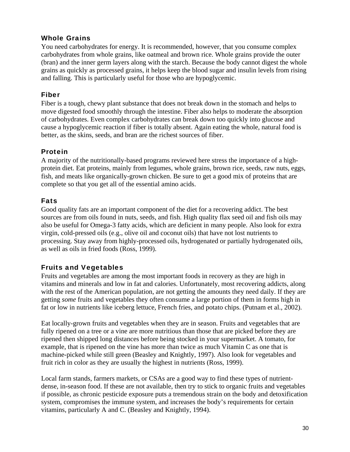# Whole Grains

You need carbohydrates for energy. It is recommended, however, that you consume complex carbohydrates from whole grains, like oatmeal and brown rice. Whole grains provide the outer (bran) and the inner germ layers along with the starch. Because the body cannot digest the whole grains as quickly as processed grains, it helps keep the blood sugar and insulin levels from rising and falling. This is particularly useful for those who are hypoglycemic.

#### Fiber

Fiber is a tough, chewy plant substance that does not break down in the stomach and helps to move digested food smoothly through the intestine. Fiber also helps to moderate the absorption of carbohydrates. Even complex carbohydrates can break down too quickly into glucose and cause a hypoglycemic reaction if fiber is totally absent. Again eating the whole, natural food is better, as the skins, seeds, and bran are the richest sources of fiber.

# Protein

A majority of the nutritionally-based programs reviewed here stress the importance of a highprotein diet. Eat proteins, mainly from legumes, whole grains, brown rice, seeds, raw nuts, eggs, fish, and meats like organically-grown chicken. Be sure to get a good mix of proteins that are complete so that you get all of the essential amino acids.

#### Fats

Good quality fats are an important component of the diet for a recovering addict. The best sources are from oils found in nuts, seeds, and fish. High quality flax seed oil and fish oils may also be useful for Omega-3 fatty acids, which are deficient in many people. Also look for extra virgin, cold-pressed oils (e.g., olive oil and coconut oils) that have not lost nutrients to processing. Stay away from highly-processed oils, hydrogenated or partially hydrogenated oils, as well as oils in fried foods (Ross, 1999).

# Fruits and Vegetables

Fruits and vegetables are among the most important foods in recovery as they are high in vitamins and minerals and low in fat and calories. Unfortunately, most recovering addicts, along with the rest of the American population, are not getting the amounts they need daily. If they are getting *some* fruits and vegetables they often consume a large portion of them in forms high in fat or low in nutrients like iceberg lettuce, French fries, and potato chips. (Putnam et al., 2002).

Eat locally-grown fruits and vegetables when they are in season. Fruits and vegetables that are fully ripened on a tree or a vine are more nutritious than those that are picked before they are ripened then shipped long distances before being stocked in your supermarket. A tomato, for example, that is ripened on the vine has more than twice as much Vitamin C as one that is machine-picked while still green (Beasley and Knightly, 1997). Also look for vegetables and fruit rich in color as they are usually the highest in nutrients (Ross, 1999).

Local farm stands, farmers markets, or CSAs are a good way to find these types of nutrientdense, in-season food. If these are not available, then try to stick to organic fruits and vegetables if possible, as chronic pesticide exposure puts a tremendous strain on the body and detoxification system, compromises the immune system, and increases the body's requirements for certain vitamins, particularly A and C. (Beasley and Knightly, 1994).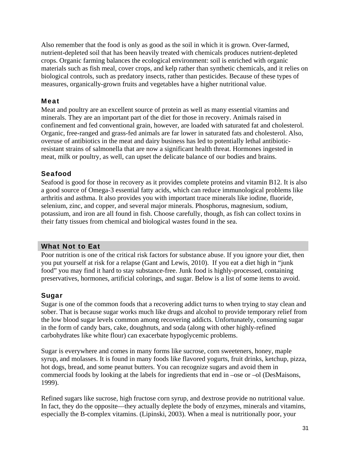Also remember that the food is only as good as the soil in which it is grown. Over-farmed, nutrient-depleted soil that has been heavily treated with chemicals produces nutrient-depleted crops. Organic farming balances the ecological environment: soil is enriched with organic materials such as fish meal, cover crops, and kelp rather than synthetic chemicals, and it relies on biological controls, such as predatory insects, rather than pesticides. Because of these types of measures, organically-grown fruits and vegetables have a higher nutritional value.

# Meat

Meat and poultry are an excellent source of protein as well as many essential vitamins and minerals. They are an important part of the diet for those in recovery. Animals raised in confinement and fed conventional grain, however, are loaded with saturated fat and cholesterol. Organic, free-ranged and grass-fed animals are far lower in saturated fats and cholesterol. Also, overuse of antibiotics in the meat and dairy business has led to potentially lethal antibioticresistant strains of salmonella that are now a significant health threat. Hormones ingested in meat, milk or poultry, as well, can upset the delicate balance of our bodies and brains.

# Seafood

Seafood is good for those in recovery as it provides complete proteins and vitamin B12. It is also a good source of Omega-3 essential fatty acids, which can reduce immunological problems like arthritis and asthma. It also provides you with important trace minerals like iodine, fluoride, selenium, zinc, and copper, and several major minerals. Phosphorus, magnesium, sodium, potassium, and iron are all found in fish. Choose carefully, though, as fish can collect toxins in their fatty tissues from chemical and biological wastes found in the sea.

# What Not to Eat

Poor nutrition is one of the critical risk factors for substance abuse. If you ignore your diet, then you put yourself at risk for a relapse (Gant and Lewis, 2010). If you eat a diet high in "junk food" you may find it hard to stay substance-free. Junk food is highly-processed, containing preservatives, hormones, artificial colorings, and sugar. Below is a list of some items to avoid.

# Sugar

Sugar is one of the common foods that a recovering addict turns to when trying to stay clean and sober. That is because sugar works much like drugs and alcohol to provide temporary relief from the low blood sugar levels common among recovering addicts. Unfortunately, consuming sugar in the form of candy bars, cake, doughnuts, and soda (along with other highly-refined carbohydrates like white flour) can exacerbate hypoglycemic problems.

Sugar is everywhere and comes in many forms like sucrose, corn sweeteners, honey, maple syrup, and molasses. It is found in many foods like flavored yogurts, fruit drinks, ketchup, pizza, hot dogs, bread, and some peanut butters. You can recognize sugars and avoid them in commercial foods by looking at the labels for ingredients that end in –ose or –ol (DesMaisons, 1999).

Refined sugars like sucrose, high fructose corn syrup, and dextrose provide no nutritional value. In fact, they do the opposite—they actually deplete the body of enzymes, minerals and vitamins, especially the B-complex vitamins. (Lipinski, 2003). When a meal is nutritionally poor, your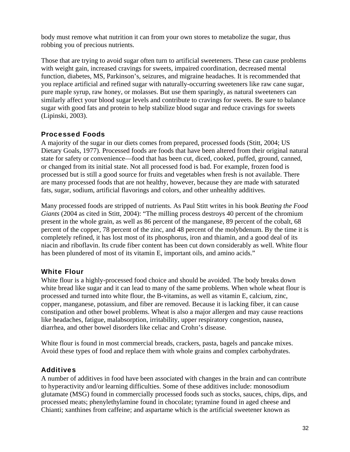body must remove what nutrition it can from your own stores to metabolize the sugar, thus robbing you of precious nutrients.

Those that are trying to avoid sugar often turn to artificial sweeteners. These can cause problems with weight gain, increased cravings for sweets, impaired coordination, decreased mental function, diabetes, MS, Parkinson's, seizures, and migraine headaches. It is recommended that you replace artificial and refined sugar with naturally-occurring sweeteners like raw cane sugar, pure maple syrup, raw honey, or molasses. But use them sparingly, as natural sweeteners can similarly affect your blood sugar levels and contribute to cravings for sweets. Be sure to balance sugar with good fats and protein to help stabilize blood sugar and reduce cravings for sweets (Lipinski, 2003).

# Processed Foods

A majority of the sugar in our diets comes from prepared, processed foods (Stitt, 2004; US Dietary Goals, 1977)*.* Processed foods are foods that have been altered from their original natural state for safety or convenience—food that has been cut, diced, cooked, puffed, ground, canned, or changed from its initial state. Not all processed food is bad. For example, frozen food is processed but is still a good source for fruits and vegetables when fresh is not available. There are many processed foods that are not healthy, however, because they are made with saturated fats, sugar, sodium, artificial flavorings and colors, and other unhealthy additives.

Many processed foods are stripped of nutrients. As Paul Stitt writes in his book *Beating the Food Giants* (2004 as cited in Stitt, 2004): "The milling process destroys 40 percent of the chromium present in the whole grain, as well as 86 percent of the manganese, 89 percent of the cobalt, 68 percent of the copper, 78 percent of the zinc, and 48 percent of the molybdenum. By the time it is completely refined, it has lost most of its phosphorus, iron and thiamin, and a good deal of its niacin and riboflavin. Its crude fiber content has been cut down considerably as well. White flour has been plundered of most of its vitamin E, important oils, and amino acids."

# White Flour

White flour is a highly-processed food choice and should be avoided. The body breaks down white bread like sugar and it can lead to many of the same problems. When whole wheat flour is processed and turned into white flour, the B-vitamins, as well as vitamin E, calcium, zinc, copper, manganese, potassium, and fiber are removed. Because it is lacking fiber, it can cause constipation and other bowel problems. Wheat is also a major allergen and may cause reactions like headaches, fatigue, malabsorption, irritability, upper respiratory congestion, nausea, diarrhea, and other bowel disorders like celiac and Crohn's disease.

White flour is found in most commercial breads, crackers, pasta, bagels and pancake mixes. Avoid these types of food and replace them with whole grains and complex carbohydrates.

# Additives

A number of additives in food have been associated with changes in the brain and can contribute to hyperactivity and/or learning difficulties. Some of these additives include: monosodium glutamate (MSG) found in commercially processed foods such as stocks, sauces, chips, dips, and processed meats; phenylethylamine found in chocolate; tyramine found in aged cheese and Chianti; xanthines from caffeine; and aspartame which is the artificial sweetener known as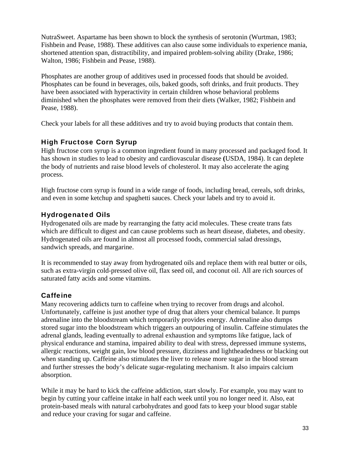NutraSweet. Aspartame has been shown to block the synthesis of serotonin (Wurtman, 1983; Fishbein and Pease, 1988). These additives can also cause some individuals to experience mania, shortened attention span, distractibility, and impaired problem-solving ability (Drake, 1986; Walton, 1986; Fishbein and Pease, 1988).

Phosphates are another group of additives used in processed foods that should be avoided. Phosphates can be found in beverages, oils, baked goods, soft drinks, and fruit products. They have been associated with hyperactivity in certain children whose behavioral problems diminished when the phosphates were removed from their diets (Walker, 1982; Fishbein and Pease, 1988).

Check your labels for all these additives and try to avoid buying products that contain them.

# High Fructose Corn Syrup

High fructose corn syrup is a common ingredient found in many processed and packaged food. It has shown in studies to lead to obesity and cardiovascular disease **(**USDA, 1984). It can deplete the body of nutrients and raise blood levels of cholesterol. It may also accelerate the aging process.

High fructose corn syrup is found in a wide range of foods, including bread, cereals, soft drinks, and even in some ketchup and spaghetti sauces. Check your labels and try to avoid it.

# Hydrogenated Oils

Hydrogenated oils are made by rearranging the fatty acid molecules. These create trans fats which are difficult to digest and can cause problems such as heart disease, diabetes, and obesity. Hydrogenated oils are found in almost all processed foods, commercial salad dressings, sandwich spreads, and margarine.

It is recommended to stay away from hydrogenated oils and replace them with real butter or oils, such as extra-virgin cold-pressed olive oil, flax seed oil, and coconut oil. All are rich sources of saturated fatty acids and some vitamins.

# Caffeine

Many recovering addicts turn to caffeine when trying to recover from drugs and alcohol. Unfortunately, caffeine is just another type of drug that alters your chemical balance. It pumps adrenaline into the bloodstream which temporarily provides energy. Adrenaline also dumps stored sugar into the bloodstream which triggers an outpouring of insulin. Caffeine stimulates the adrenal glands, leading eventually to adrenal exhaustion and symptoms like fatigue, lack of physical endurance and stamina, impaired ability to deal with stress, depressed immune systems, allergic reactions, weight gain, low blood pressure, dizziness and lightheadedness or blacking out when standing up. Caffeine also stimulates the liver to release more sugar in the blood stream and further stresses the body's delicate sugar-regulating mechanism. It also impairs calcium absorption.

While it may be hard to kick the caffeine addiction, start slowly. For example, you may want to begin by cutting your caffeine intake in half each week until you no longer need it. Also, eat protein-based meals with natural carbohydrates and good fats to keep your blood sugar stable and reduce your craving for sugar and caffeine.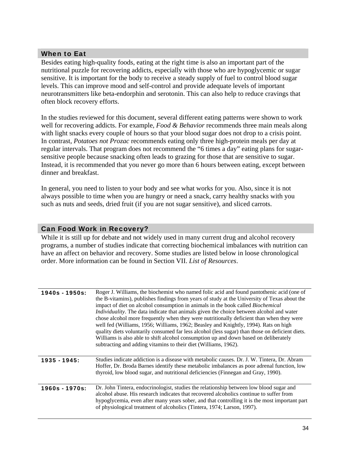#### When to Eat

Besides eating high-quality foods, eating at the right time is also an important part of the nutritional puzzle for recovering addicts, especially with those who are hypoglycemic or sugar sensitive. It is important for the body to receive a steady supply of fuel to control blood sugar levels. This can improve mood and self-control and provide adequate levels of important neurotransmitters like beta-endorphin and serotonin. This can also help to reduce cravings that often block recovery efforts.

In the studies reviewed for this document, several different eating patterns were shown to work well for recovering addicts. For example, *Food & Behavior* recommends three main meals along with light snacks every couple of hours so that your blood sugar does not drop to a crisis point. In contrast, *Potatoes not Prozac* recommends eating only three high-protein meals per day at regular intervals. That program does not recommend the "6 times a day" eating plans for sugarsensitive people because snacking often leads to grazing for those that are sensitive to sugar. Instead, it is recommended that you never go more than 6 hours between eating, except between dinner and breakfast.

In general, you need to listen to your body and see what works for you. Also, since it is not always possible to time when you are hungry or need a snack, carry healthy snacks with you such as nuts and seeds, dried fruit (if you are not sugar sensitive), and sliced carrots.

# Can Food Work in Recovery?

While it is still up for debate and not widely used in many current drug and alcohol recovery programs, a number of studies indicate that correcting biochemical imbalances with nutrition can have an affect on behavior and recovery. Some studies are listed below in loose chronological order. More information can be found in Section VII. *List of Resources*.

| 1940s - 1950s: | Roger J. Williams, the biochemist who named folic acid and found pantothenic acid (one of<br>the B-vitamins), publishes findings from years of study at the University of Texas about the<br>impact of diet on alcohol consumption in animals in the book called <i>Biochemical</i><br><i>Individuality</i> . The data indicate that animals given the choice between alcohol and water<br>chose alcohol more frequently when they were nutritionally deficient than when they were<br>well fed (Williams, 1956; Williams, 1962; Beasley and Knightly, 1994). Rats on high<br>quality diets voluntarily consumed far less alcohol (less sugar) than those on deficient diets.<br>Williams is also able to shift alcohol consumption up and down based on deliberately<br>subtracting and adding vitamins to their diet (Williams, 1962). |
|----------------|------------------------------------------------------------------------------------------------------------------------------------------------------------------------------------------------------------------------------------------------------------------------------------------------------------------------------------------------------------------------------------------------------------------------------------------------------------------------------------------------------------------------------------------------------------------------------------------------------------------------------------------------------------------------------------------------------------------------------------------------------------------------------------------------------------------------------------------|
| 1935 - 1945:   | Studies indicate addiction is a disease with metabolic causes. Dr. J. W. Tintera, Dr. Abram<br>Hoffer, Dr. Broda Barnes identify these metabolic imbalances as poor adrenal function, low<br>thyroid, low blood sugar, and nutritional deficiencies (Finnegan and Gray, 1990).                                                                                                                                                                                                                                                                                                                                                                                                                                                                                                                                                           |
| 1960s - 1970s: | Dr. John Tintera, endocrinologist, studies the relationship between low blood sugar and<br>alcohol abuse. His research indicates that recovered alcoholics continue to suffer from<br>hypoglycemia, even after many years sober, and that controlling it is the most important part<br>of physiological treatment of alcoholics (Tintera, 1974; Larson, 1997).                                                                                                                                                                                                                                                                                                                                                                                                                                                                           |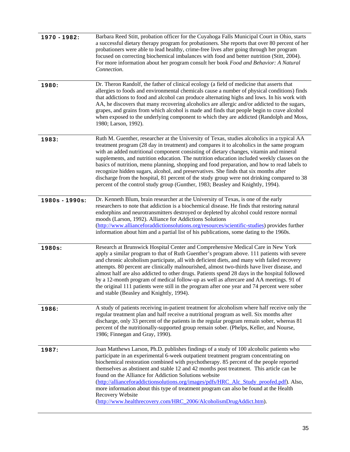| 1970 - 1982:   | Barbara Reed Stitt, probation officer for the Cuyahoga Falls Municipal Court in Ohio, starts<br>a successful dietary therapy program for probationers. She reports that over 80 percent of her<br>probationers were able to lead healthy, crime-free lives after going through her program<br>focused on correcting biochemical imbalances with food and better nutrition (Stitt, 2004).<br>For more information about her program consult her book Food and Behavior: A Natural<br>Connection.                                                                                                                                                                                                                                                              |
|----------------|--------------------------------------------------------------------------------------------------------------------------------------------------------------------------------------------------------------------------------------------------------------------------------------------------------------------------------------------------------------------------------------------------------------------------------------------------------------------------------------------------------------------------------------------------------------------------------------------------------------------------------------------------------------------------------------------------------------------------------------------------------------|
| 1980:          | Dr. Theron Randolf, the father of clinical ecology (a field of medicine that asserts that<br>allergies to foods and environmental chemicals cause a number of physical conditions) finds<br>that addictions to food and alcohol can produce alternating highs and lows. In his work with<br>AA, he discovers that many recovering alcoholics are allergic and/or addicted to the sugars,<br>grapes, and grains from which alcohol is made and finds that people begin to crave alcohol<br>when exposed to the underlying component to which they are addicted (Randolph and Moss,<br>1980; Larson, 1992).                                                                                                                                                    |
| 1983:          | Ruth M. Guenther, researcher at the University of Texas, studies alcoholics in a typical AA<br>treatment program (28 day in treatment) and compares it to alcoholics in the same program<br>with an added nutritional component consisting of dietary changes, vitamin and mineral<br>supplements, and nutrition education. The nutrition education included weekly classes on the<br>basics of nutrition, menu planning, shopping and food preparation, and how to read labels to<br>recognize hidden sugars, alcohol, and preservatives. She finds that six months after<br>discharge from the hospital, 81 percent of the study group were not drinking compared to 38<br>percent of the control study group (Gunther, 1983; Beasley and Knightly, 1994). |
| 1980s - 1990s: | Dr. Kenneth Blum, brain researcher at the University of Texas, is one of the early<br>researchers to note that addiction is a biochemical disease. He finds that restoring natural<br>endorphins and neurotransmitters destroyed or depleted by alcohol could restore normal<br>moods (Larson, 1992). Alliance for Addictions Solutions<br>(http://www.allianceforaddictionsolutions.org/resources/scientific-studies) provides further<br>information about him and a partial list of his publications, some dating to the 1960s.                                                                                                                                                                                                                           |
| 1980s:         | Research at Brunswick Hospital Center and Comprehensive Medical Care in New York<br>apply a similar program to that of Ruth Guenther's program above. 111 patients with severe<br>and chronic alcoholism participate, all with deficient diets, and many with failed recovery<br>attempts. 80 percent are clinically malnourished, almost two-thirds have liver disease, and<br>almost half are also addicted to other drugs. Patients spend 28 days in the hospital followed<br>by a 12-month program of medical follow-up as well as aftercare and AA meetings. 91 of<br>the original 111 patients were still in the program after one year and 74 percent were sober<br>and stable (Beasley and Knightly, 1994).                                          |
| 1986:          | A study of patients receiving in-patient treatment for alcoholism where half receive only the<br>regular treatment plan and half receive a nutritional program as well. Six months after<br>discharge, only 33 percent of the patients in the regular program remain sober, whereas 81<br>percent of the nutritionally-supported group remain sober. (Phelps, Keller, and Nourse,<br>1986; Finnegan and Gray, 1990).                                                                                                                                                                                                                                                                                                                                         |
| 1987:          | Joan Matthews Larson, Ph.D. publishes findings of a study of 100 alcoholic patients who<br>participate in an experimental 6-week outpatient treatment program concentrating on<br>biochemical restoration combined with psychotherapy. 85 percent of the people reported<br>themselves as abstinent and stable 12 and 42 months post treatment. This article can be<br>found on the Alliance for Addiction Solutions website<br>(http://allianceforaddictionsolutions.org/images/pdfs/HRC Alc Study proofed.pdf). Also,<br>more information about this type of treatment program can also be found at the Health<br>Recovery Website<br>(http://www.healthrecovery.com/HRC 2006/AlcoholismDrugAddict.htm).                                                   |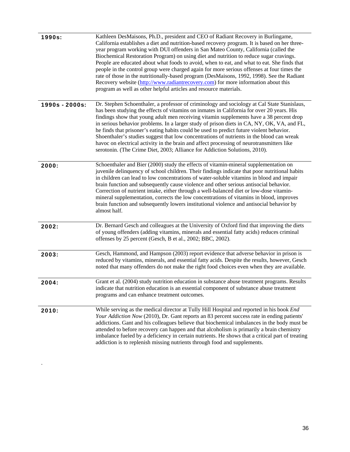| 1990s:         | Kathleen DesMaisons, Ph.D., president and CEO of Radiant Recovery in Burlingame,<br>California establishes a diet and nutrition-based recovery program. It is based on her three-<br>year program working with DUI offenders in San Mateo County, California (called the<br>Biochemical Restoration Program) on using diet and nutrition to reduce sugar cravings.<br>People are educated about what foods to avoid, when to eat, and what to eat. She finds that<br>people in the control group were charged again for more serious offenses at four times the<br>rate of those in the nutritionally-based program (DesMaisons, 1992, 1998). See the Radiant<br>Recovery website (http://www.radiantrecovery.com) for more information about this<br>program as well as other helpful articles and resource materials. |
|----------------|-------------------------------------------------------------------------------------------------------------------------------------------------------------------------------------------------------------------------------------------------------------------------------------------------------------------------------------------------------------------------------------------------------------------------------------------------------------------------------------------------------------------------------------------------------------------------------------------------------------------------------------------------------------------------------------------------------------------------------------------------------------------------------------------------------------------------|
| 1990s - 2000s: | Dr. Stephen Schoenthaler, a professor of criminology and sociology at Cal State Stanislaus,<br>has been studying the effects of vitamins on inmates in California for over 20 years. His<br>findings show that young adult men receiving vitamin supplements have a 38 percent drop<br>in serious behavior problems. In a larger study of prison diets in CA, NY, OK, VA, and FL,<br>he finds that prisoner's eating habits could be used to predict future violent behavior.<br>Shoenthaler's studies suggest that low concentrations of nutrients in the blood can wreak<br>havoc on electrical activity in the brain and affect processing of neurotransmitters like<br>serotonin. (The Crime Diet, 2003; Alliance for Addiction Solutions, 2010).                                                                   |
| 2000:          | Schoenthaler and Bier (2000) study the effects of vitamin-mineral supplementation on<br>juvenile delinquency of school children. Their findings indicate that poor nutritional habits<br>in children can lead to low concentrations of water-soluble vitamins in blood and impair<br>brain function and subsequently cause violence and other serious antisocial behavior.<br>Correction of nutrient intake, either through a well-balanced diet or low-dose vitamin-<br>mineral supplementation, corrects the low concentrations of vitamins in blood, improves<br>brain function and subsequently lowers institutional violence and antisocial behavior by<br>almost half.                                                                                                                                            |
| 2002:          | Dr. Bernard Gesch and colleagues at the University of Oxford find that improving the diets<br>of young offenders (adding vitamins, minerals and essential fatty acids) reduces criminal<br>offenses by 25 percent (Gesch, B et al., 2002; BBC, 2002).                                                                                                                                                                                                                                                                                                                                                                                                                                                                                                                                                                   |
| 2003:          | Gesch, Hammond, and Hampson (2003) report evidence that adverse behavior in prison is<br>reduced by vitamins, minerals, and essential fatty acids. Despite the results, however, Gesch<br>noted that many offenders do not make the right food choices even when they are available.                                                                                                                                                                                                                                                                                                                                                                                                                                                                                                                                    |
| 2004:          | Grant et al. (2004) study nutrition education in substance abuse treatment programs. Results<br>indicate that nutrition education is an essential component of substance abuse treatment<br>programs and can enhance treatment outcomes.                                                                                                                                                                                                                                                                                                                                                                                                                                                                                                                                                                                |
| 2010:          | While serving as the medical director at Tully Hill Hospital and reported in his book End<br>Your Addiction Now (2010), Dr. Gant reports an 83 percent success rate in ending patients'<br>addictions. Gant and his colleagues believe that biochemical imbalances in the body must be<br>attended to before recovery can happen and that alcoholism is primarily a brain chemistry<br>imbalance fueled by a deficiency in certain nutrients. He shows that a critical part of treating<br>addiction is to replenish missing nutrients through food and supplements.                                                                                                                                                                                                                                                    |

.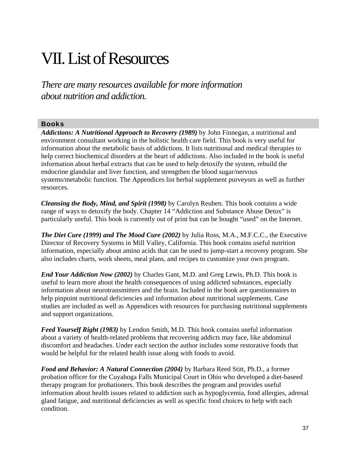# VII. List of Resources

*There are many resources available for more information about nutrition and addiction.* 

#### **Books**

*Addictions: A Nutritional Approach to Recovery (1989)* by John Finnegan, a nutritional and environment consultant working in the holistic health care field. This book is very useful for information about the metabolic basis of addictions. It lists nutritional and medical therapies to help correct biochemical disorders at the heart of addictions. Also included in the book is useful information about herbal extracts that can be used to help detoxify the system, rebuild the endocrine glandular and liver function, and strengthen the blood sugar/nervous systems/metabolic function. The Appendices list herbal supplement purveyors as well as further resources.

*Cleansing the Body, Mind, and Spirit (1998)* by Carolyn Reuben. This book contains a wide range of ways to detoxify the body. Chapter 14 "Addiction and Substance Abuse Detox" is particularly useful. This book is currently out of print but can be bought "used" on the Internet.

*The Diet Cure (1999) and The Mood Cure (2002)* by Julia Ross, M.A., M.F.C.C., the Executive Director of Recovery Systems in Mill Valley, California. This book contains useful nutrition information, especially about amino acids that can be used to jump-start a recovery program. She also includes charts, work sheets, meal plans, and recipes to customize your own program.

*End Your Addiction Now (2002)* by Charles Gant, M.D. and Greg Lewis, Ph.D. This book is useful to learn more about the health consequences of using addicted substances, especially information about neurotransmitters and the brain. Included in the book are questionnaires to help pinpoint nutritional deficiencies and information about nutritional supplements. Case studies are included as well as Appendices with resources for purchasing nutritional supplements and support organizations.

*Feed Yourself Right (1983)* by Lendon Smith, M.D. This book contains useful information about a variety of health-related problems that recovering addicts may face, like abdominal discomfort and headaches. Under each section the author includes some restorative foods that would be helpful for the related health issue along with foods to avoid.

*Food and Behavior: A Natural Connection (2004)* by Barbara Reed Stitt, Ph.D., a former probation officer for the Cuyahoga Falls Municipal Court in Ohio who developed a diet-baseed therapy program for probationers. This book describes the program and provides useful information about health issues related to addiction such as hypoglycemia, food allergies, adrenal gland fatigue, and nutritional deficiencies as well as specific food choices to help with each condition.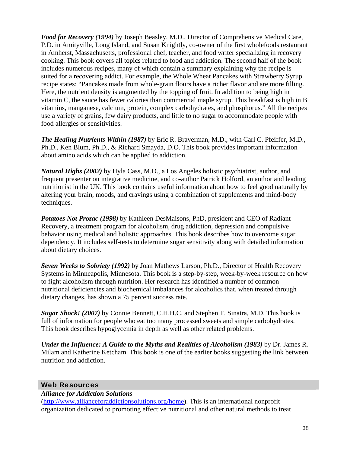*Food for Recovery (1994)* by Joseph Beasley, M.D., Director of Comprehensive Medical Care, P.D. in Amityville, Long Island, and Susan Knightly, co-owner of the first wholefoods restaurant in Amherst, Massachusetts, professional chef, teacher, and food writer specializing in recovery cooking. This book covers all topics related to food and addiction. The second half of the book includes numerous recipes, many of which contain a summary explaining why the recipe is suited for a recovering addict. For example, the Whole Wheat Pancakes with Strawberry Syrup recipe states: "Pancakes made from whole-grain flours have a richer flavor and are more filling. Here, the nutrient density is augmented by the topping of fruit. In addition to being high in vitamin C, the sauce has fewer calories than commercial maple syrup. This breakfast is high in B vitamins, manganese, calcium, protein, complex carbohydrates, and phosphorus." All the recipes use a variety of grains, few dairy products, and little to no sugar to accommodate people with food allergies or sensitivities.

*The Healing Nutrients Within (1987)* by Eric R. Braverman, M.D., with Carl C. Pfeiffer, M.D., Ph.D., Ken Blum, Ph.D., & Richard Smayda, D.O. This book provides important information about amino acids which can be applied to addiction.

*Natural Highs (2002)* by Hyla Cass, M.D., a Los Angeles holistic psychiatrist, author, and frequent presenter on integrative medicine, and co-author Patrick Holford, an author and leading nutritionist in the UK. This book contains useful information about how to feel good naturally by altering your brain, moods, and cravings using a combination of supplements and mind-body techniques.

*Potatoes Not Prozac (1998)* by Kathleen DesMaisons, PhD, president and CEO of Radiant Recovery, a treatment program for alcoholism, drug addiction, depression and compulsive behavior using medical and holistic approaches. This book describes how to overcome sugar dependency. It includes self-tests to determine sugar sensitivity along with detailed information about dietary choices.

*Seven Weeks to Sobriety (1992)* by Joan Mathews Larson, Ph.D., Director of Health Recovery Systems in Minneapolis, Minnesota. This book is a step-by-step, week-by-week resource on how to fight alcoholism through nutrition. Her research has identified a number of common nutritional deficiencies and biochemical imbalances for alcoholics that, when treated through dietary changes, has shown a 75 percent success rate.

*Sugar Shock! (2007)* by Connie Bennett, C.H.H.C. and Stephen T. Sinatra, M.D. This book is full of information for people who eat too many processed sweets and simple carbohydrates. This book describes hypoglycemia in depth as well as other related problems.

*Under the Influence: A Guide to the Myths and Realities of Alcoholism (1983)* by Dr. James R. Milam and Katherine Ketcham. This book is one of the earlier books suggesting the link between nutrition and addiction.

# Web Resources

*Alliance for Addiction Solutions*

(http://www.allianceforaddictionsolutions.org/home). This is an international nonprofit organization dedicated to promoting effective nutritional and other natural methods to treat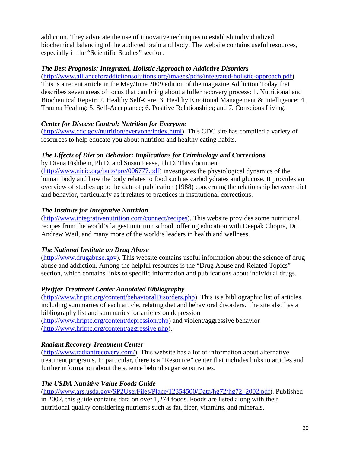addiction. They advocate the use of innovative techniques to establish individualized biochemical balancing of the addicted brain and body. The website contains useful resources, especially in the "Scientific Studies" section.

# *The Best Prognosis: Integrated, Holistic Approach to Addictive Disorders*

(http://www.allianceforaddictionsolutions.org/images/pdfs/integrated-holistic-approach.pdf). This is a recent article in the May/June 2009 edition of the magazine Addiction Today that describes seven areas of focus that can bring about a fuller recovery process: 1. Nutritional and Biochemical Repair; 2. Healthy Self-Care; 3. Healthy Emotional Management & Intelligence; 4. Trauma Healing; 5. Self-Acceptance; 6. Positive Relationships; and 7. Conscious Living.

# *Center for Disease Control: Nutrition for Everyone*

(http://www.cdc.gov/nutrition/everyone/index.html). This CDC site has compiled a variety of resources to help educate you about nutrition and healthy eating habits.

# *The Effects of Diet on Behavior: Implications for Criminology and Corrections*

by Diana Fishbein, Ph.D. and Susan Pease, Ph.D. This document (http://www.nicic.org/pubs/pre/006777.pdf) investigates the physiological dynamics of the human body and how the body relates to food such as carbohydrates and glucose. It provides an overview of studies up to the date of publication (1988) concerning the relationship between diet and behavior, particularly as it relates to practices in institutional corrections.

# *The Institute for Integrative Nutrition*

(http://www.integrativenutrition.com/connect/recipes). This website provides some nutritional recipes from the world's largest nutrition school, offering education with Deepak Chopra, Dr. Andrew Weil, and many more of the world's leaders in health and wellness.

# *The National Institute on Drug Abuse*

(http://www.drugabuse.gov). This website contains useful information about the science of drug abuse and addiction. Among the helpful resources is the "Drug Abuse and Related Topics" section, which contains links to specific information and publications about individual drugs.

# *Pfeiffer Treatment Center Annotated Bibliography*

(http://www.hriptc.org/content/behavioralDisorders.php). This is a bibliographic list of articles, including summaries of each article, relating diet and behavioral disorders. The site also has a bibliography list and summaries for articles on depression (http://www.hriptc.org/content/depression.php) and violent/aggressive behavior (http://www.hriptc.org/content/aggressive.php).

# *Radiant Recovery Treatment Center*

(http://www.radiantrecovery.com/). This website has a lot of information about alternative treatment programs. In particular, there is a "Resource" center that includes links to articles and further information about the science behind sugar sensitivities.

# *The USDA Nutritive Value Foods Guide*

(http://www.ars.usda.gov/SP2UserFiles/Place/12354500/Data/hg72/hg72\_2002.pdf). Published in 2002, this guide contains data on over 1,274 foods. Foods are listed along with their nutritional quality considering nutrients such as fat, fiber, vitamins, and minerals.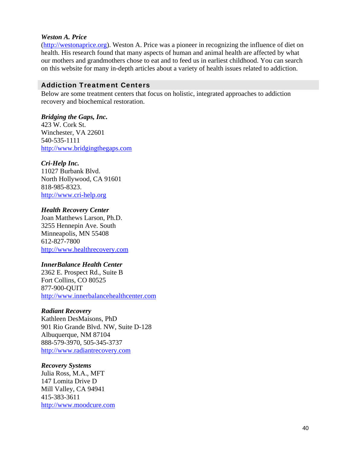#### *Weston A. Price*

(http://westonaprice.org). Weston A. Price was a pioneer in recognizing the influence of diet on health. His research found that many aspects of human and animal health are affected by what our mothers and grandmothers chose to eat and to feed us in earliest childhood. You can search on this website for many in-depth articles about a variety of health issues related to addiction.

#### Addiction Treatment Centers

Below are some treatment centers that focus on holistic, integrated approaches to addiction recovery and biochemical restoration.

#### *Bridging the Gaps, Inc.*

423 W. Cork St. Winchester, VA 22601 540-535-1111 http://www.bridgingthegaps.com

#### *Cri-Help Inc.*

11027 Burbank Blvd. North Hollywood, CA 91601 818-985-8323. http://www.cri-help.org

#### *Health Recovery Center*

Joan Matthews Larson, Ph.D. 3255 Hennepin Ave. South Minneapolis, MN 55408 612-827-7800 http://www.healthrecovery.com

# *InnerBalance Health Center*

2362 E. Prospect Rd., Suite B Fort Collins, CO 80525 877-900-QUIT http://www.innerbalancehealthcenter.com

#### *Radiant Recovery*

Kathleen DesMaisons, PhD 901 Rio Grande Blvd. NW, Suite D-128 Albuquerque, NM 87104 888-579-3970, 505-345-3737 http://www.radiantrecovery.com

#### *Recovery Systems*

Julia Ross, M.A., MFT 147 Lomita Drive D Mill Valley, CA 94941 415-383-3611 http://www.moodcure.com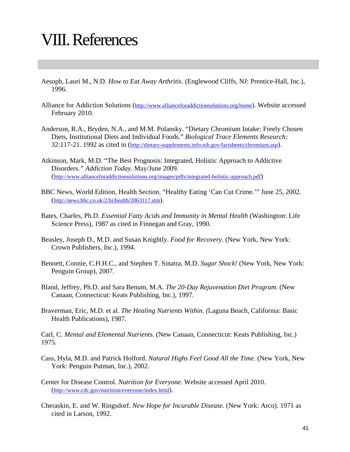# VIII. References

- Aesoph, Lauri M., N.D. *How to Eat Away Arthritis*. (Englewood Cliffs, NJ: Prentice-Hall, Inc.), 1996.
- Alliance for Addiction Solutions (http://www.allianceforaddictionsolutions.org/home). Website accessed February 2010.
- Anderson, R.A., Bryden, N.A., and M.M. Polansky. "Dietary Chromium Intake: Freely Chosen Diets, Institutional Diets and Individual Foods." *Biological Trace Elements Research;* 32:117-21. 1992 as cited in (http://dietary-supplements.info.nih.gov/factsheets/chromium.asp).
- Atkinson, Mark, M.D. "The Best Prognosis: Integrated, Holistic Approach to Addictive Disorders*." Addiction Today*. May/June 2009. (http://www.allianceforaddictionsolutions.org/images/pdfs/integrated-holistic-approach.pdf)
- BBC News, World Edition, Health Section. "Healthy Eating 'Can Cut Crime.'" June 25, 2002*.* (http://news.bbc.co.uk/2/hi/health/2063117.stm).
- Bates, Charles, Ph.D. *Essential Fatty Acids and Immunity in Mental Health* (Washington: Life Science Press), 1987 as cited in Finnegan and Gray, 1990.
- Beasley, Joseph D., M.D. and Susan Knightly. *Food for Recovery*. (New York, New York: Crown Publishers, Inc.), 1994.
- Bennett, Connie, C.H.H.C., and Stephen T. Sinatra, M.D. *Sugar Shock!* (New York, New York: Penguin Group), 2007.
- Bland, Jeffrey, Ph.D. and Sara Benum, M.A. *The 20-Day Rejuvenation Diet Program.* (New Canaan, Connecticut: Keats Publishing, Inc.), 1997.
- Braverman, Eric, M.D. et al. *The Healing Nutrients Within. (*Laguna Beach, California: Basic Health Publications), 1987.

Carl, C. *Mental and Elemental Nutrients.* (New Canaan, Connecticut: Keats Publishing, Inc.) 1975.

Cass, Hyla, M.D. and Patrick Holford. *Natural Highs Feel Good All the Time.* (New York, New York: Penguin Putman, Inc.), 2002.

Center for Disease Control. *Nutrition for Everyone*. Website accessed April 2010. (http://www.cdc.gov/nutrition/everyone/index.html).

Cheraskin, E. and W. Ringsdorf. *New Hope for Incurable Disease.* (New York: Arco). 1971 as cited in Larson, 1992.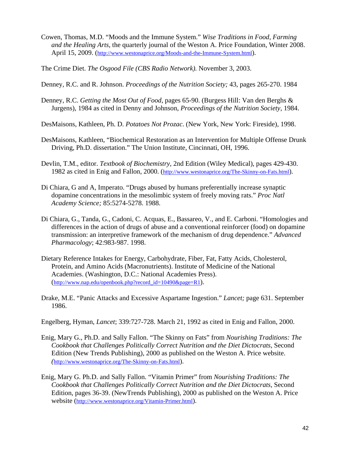- Cowen, Thomas, M.D. "Moods and the Immune System." *Wise Traditions in Food, Farming and the Healing Arts*, the quarterly journal of the Weston A. Price Foundation, Winter 2008. April 15, 2009. (http://www.westonaprice.org/Moods-and-the-Immune-System.html).
- The Crime Diet. *The Osgood File (CBS Radio Network).* November 3, 2003.
- Denney, R.C. and R. Johnson. *Proceedings of the Nutrition Society;* 43, pages 265-270. 1984
- Denney, R.C. *Getting the Most Out of Food*, pages 65-90. (Burgess Hill: Van den Berghs & Jurgens), 1984 as cited in Denny and Johnson, *Proceedings of the Nutrition Society*, 1984.
- DesMaisons, Kathleen, Ph. D. *Potatoes Not Prozac*. (New York, New York: Fireside), 1998.
- DesMaisons, Kathleen, "Biochemical Restoration as an Intervention for Multiple Offense Drunk Driving, Ph.D. dissertation." The Union Institute, Cincinnati, OH, 1996.
- Devlin, T.M., editor. *Textbook of Biochemistry*, 2nd Edition (Wiley Medical), pages 429-430. 1982 as cited in Enig and Fallon, 2000. (http://www.westonaprice.org/The-Skinny-on-Fats.html).
- Di Chiara, G and A, Imperato. "Drugs abused by humans preferentially increase synaptic dopamine concentrations in the mesolimbic system of freely moving rats." *Proc Natl Academy Science;* 85:5274-5278. 1988.
- Di Chiara, G., Tanda, G., Cadoni, C. Acquas, E., Bassareo, V., and E. Carboni. "Homologies and differences in the action of drugs of abuse and a conventional reinforcer (food) on dopamine transmission: an interpretive framework of the mechanism of drug dependence." *Advanced Pharmacology*; 42:983-987. 1998.
- Dietary Reference Intakes for Energy, Carbohydrate, Fiber, Fat, Fatty Acids, Cholesterol, Protein, and Amino Acids (Macronutrients). Institute of Medicine of the National Academies. (Washington, D.C.: National Academies Press). (http://www.nap.edu/openbook.php?record\_id=10490&page=R1).
- Drake, M.E. "Panic Attacks and Excessive Aspartame Ingestion." *Lancet;* page 631. September 1986.
- Engelberg, Hyman, *Lancet*; 339:727-728. March 21, 1992 as cited in Enig and Fallon, 2000.
- Enig, Mary G., Ph.D. and Sally Fallon. "The Skinny on Fats" from *Nourishing Traditions: The Cookbook that Challenges Politically Correct Nutrition and the Diet Dictocrats*, Second Edition (New Trends Publishing), 2000 as published on the Weston A. Price website. *(*http://www.westonaprice.org/The-Skinny-on-Fats.html).
- Enig, Mary G. Ph.D. and Sally Fallon. "Vitamin Primer" from *Nourishing Traditions: The Cookbook that Challenges Politically Correct Nutrition and the Diet Dictocrats*, Second Edition, pages 36-39. (NewTrends Publishing), 2000 as published on the Weston A. Price website (http://www.westonaprice.org/Vitamin-Primer.html).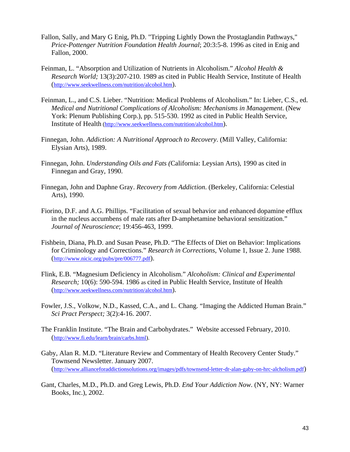- Fallon, Sally, and Mary G Enig, Ph.D. "Tripping Lightly Down the Prostaglandin Pathways," *Price-Pottenger Nutrition Foundation Health Journal*; 20:3:5-8. 1996 as cited in Enig and Fallon, 2000.
- Feinman, L. "Absorption and Utilization of Nutrients in Alcoholism." *Alcohol Health & Research World;* 13(3):207-210. 1989 as cited in Public Health Service, Institute of Health (http://www.seekwellness.com/nutrition/alcohol.htm).
- Feinman, L., and C.S. Lieber. "Nutrition: Medical Problems of Alcoholism." In: Lieber, C.S., ed. *Medical and Nutritional Complications of Alcoholism: Mechanisms in Management*. (New York: Plenum Publishing Corp.), pp. 515-530. 1992 as cited in Public Health Service, Institute of Health (http://www.seekwellness.com/nutrition/alcohol.htm).
- Finnegan, John. *Addiction: A Nutritional Approach to Recovery*. (Mill Valley, California: Elysian Arts), 1989.
- Finnegan, John. *Understanding Oils and Fats (*California: Leysian Arts), 1990 as cited in Finnegan and Gray, 1990.
- Finnegan, John and Daphne Gray. *Recovery from Addiction*. (Berkeley, California: Celestial Arts), 1990.
- Fiorino, D.F. and A.G. Phillips. "Facilitation of sexual behavior and enhanced dopamine efflux in the nucleus accumbens of male rats after D-amphetamine behavioral sensitization." *Journal of Neuroscience*; 19:456-463, 1999.
- Fishbein, Diana, Ph.D. and Susan Pease, Ph.D. "The Effects of Diet on Behavior: Implications for Criminology and Corrections." *Research in Corrections*, Volume 1, Issue 2. June 1988. (http://www.nicic.org/pubs/pre/006777.pdf).
- Flink, E.B. "Magnesium Deficiency in Alcoholism." *Alcoholism: Clinical and Experimental Research;* 10(6): 590-594. 1986 as cited in Public Health Service, Institute of Health (http://www.seekwellness.com/nutrition/alcohol.htm).
- Fowler, J.S., Volkow, N.D., Kassed, C.A., and L. Chang. "Imaging the Addicted Human Brain." *Sci Pract Perspect;* 3(2):4-16. 2007.
- The Franklin Institute. "The Brain and Carbohydrates." Website accessed February, 2010. (http://www.fi.edu/learn/brain/carbs.html).
- Gaby, Alan R. M.D. "Literature Review and Commentary of Health Recovery Center Study." Townsend Newsletter. January 2007. (http://www.allianceforaddictionsolutions.org/images/pdfs/townsend-letter-dr-alan-gaby-on-hrc-alcholism.pdf)
- Gant, Charles, M.D., Ph.D. and Greg Lewis, Ph.D. *End Your Addiction Now*. (NY, NY: Warner Books, Inc.), 2002.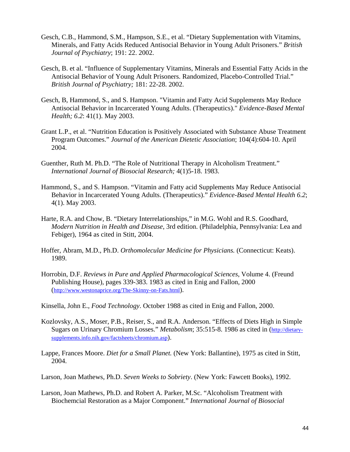- Gesch, C.B., Hammond, S.M., Hampson, S.E., et al. "Dietary Supplementation with Vitamins, Minerals, and Fatty Acids Reduced Antisocial Behavior in Young Adult Prisoners." *British Journal of Psychiatry*; 191: 22. 2002.
- Gesch, B. et al. "Influence of Supplementary Vitamins, Minerals and Essential Fatty Acids in the Antisocial Behavior of Young Adult Prisoners. Randomized, Placebo-Controlled Trial." *British Journal of Psychiatry;* 181: 22-28. 2002.
- Gesch, B, Hammond, S., and S. Hampson. "Vitamin and Fatty Acid Supplements May Reduce Antisocial Behavior in Incarcerated Young Adults. (Therapeutics)." *Evidence-Based Mental Health; 6.2*: 41(1). May 2003.
- Grant L.P., et al. "Nutrition Education is Positively Associated with Substance Abuse Treatment Program Outcomes." *Journal of the American Dietetic Association*; 104(4):604-10. April 2004.
- Guenther, Ruth M. Ph.D. "The Role of Nutritional Therapy in Alcoholism Treatment." *International Journal of Biosocial Research;* 4(1)5-18. 1983.
- Hammond, S., and S. Hampson. "Vitamin and Fatty acid Supplements May Reduce Antisocial Behavior in Incarcerated Young Adults. (Therapeutics)." *Evidence-Based Mental Health 6.2*; 4(1). May 2003.
- Harte, R.A. and Chow, B. "Dietary Interrelationships," in M.G. Wohl and R.S. Goodhard, *Modern Nutrition in Health and Disease*, 3rd edition. (Philadelphia, Pennsylvania: Lea and Febiger), 1964 as cited in Stitt, 2004.
- Hoffer, Abram, M.D., Ph.D. *Orthomolecular Medicine for Physicians.* (Connecticut: Keats). 1989.
- Horrobin, D.F. *Reviews in Pure and Applied Pharmacological Sciences*, Volume 4. (Freund Publishing House), pages 339-383. 1983 as cited in Enig and Fallon, 2000 (http://www.westonaprice.org/The-Skinny-on-Fats.html).
- Kinsella, John E., *Food Technology*. October 1988 as cited in Enig and Fallon, 2000.
- Kozlovsky, A.S., Moser, P.B., Reiser, S., and R.A. Anderson. "Effects of Diets High in Simple Sugars on Urinary Chromium Losses." *Metabolism*; 35:515-8. 1986 as cited in (http://dietarysupplements.info.nih.gov/factsheets/chromium.asp).
- Lappe, Frances Moore. *Diet for a Small Planet.* (New York: Ballantine), 1975 as cited in Stitt, 2004.
- Larson, Joan Mathews, Ph.D. *Seven Weeks to Sobriety*. (New York: Fawcett Books), 1992.
- Larson, Joan Mathews, Ph.D. and Robert A. Parker, M.Sc. "Alcoholism Treatment with Biochemcial Restoration as a Major Component." *International Journal of Biosocial*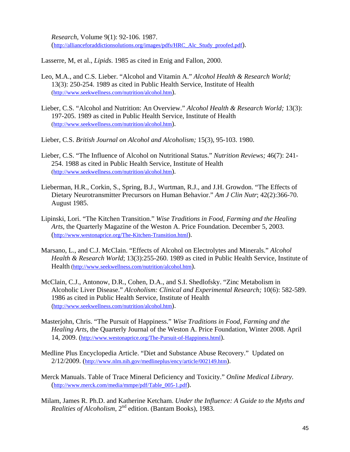*Research*, Volume 9(1): 92-106. 1987. (http://allianceforaddictionsolutions.org/images/pdfs/HRC\_Alc\_Study\_proofed.pdf).

Lasserre, M, et al., *Lipids*. 1985 as cited in Enig and Fallon, 2000.

- Leo, M.A., and C.S. Lieber. "Alcohol and Vitamin A." *Alcohol Health & Research World;* 13(3): 250-254. 1989 as cited in Public Health Service, Institute of Health (http://www.seekwellness.com/nutrition/alcohol.htm).
- Lieber, C.S. "Alcohol and Nutrition: An Overview." *Alcohol Health & Research World;* 13(3): 197-205. 1989 as cited in Public Health Service, Institute of Health (http://www.seekwellness.com/nutrition/alcohol.htm).
- Lieber, C.S. *British Journal on Alcohol and Alcoholism;* 15(3), 95-103. 1980.
- Lieber, C.S. "The Influence of Alcohol on Nutritional Status." *Nutrition Reviews;* 46(7): 241- 254. 1988 as cited in Public Health Service, Institute of Health (http://www.seekwellness.com/nutrition/alcohol.htm).
- Lieberman, H.R., Corkin, S., Spring, B.J., Wurtman, R.J., and J.H. Growdon. "The Effects of Dietary Neurotransmitter Precursors on Human Behavior." *Am J Clin Nutr*; 42(2):366-70. August 1985.
- Lipinski, Lori. "The Kitchen Transition." *Wise Traditions in Food, Farming and the Healing Arts*, the Quarterly Magazine of the Weston A. Price Foundation. December 5, 2003. (http://www.westonaprice.org/The-Kitchen-Transition.html).
- Marsano, L., and C.J. McClain. "Effects of Alcohol on Electrolytes and Minerals." *Alcohol Health & Research World*; 13(3):255-260. 1989 as cited in Public Health Service, Institute of Health (http://www.seekwellness.com/nutrition/alcohol.htm).
- McClain, C.J., Antonow, D.R., Cohen, D.A., and S.I. Shedlofsky. "Zinc Metabolism in Alcoholic Liver Disease." *Alcoholism: Clinical and Experimental Research;* 10(6): 582-589. 1986 as cited in Public Health Service, Institute of Health (http://www.seekwellness.com/nutrition/alcohol.htm).
- Masterjohn, Chris. "The Pursuit of Happiness." *Wise Traditions in Food, Farming and the Healing Arts*, the Quarterly Journal of the Weston A. Price Foundation, Winter 2008. April 14, 2009. (http://www.westonaprice.org/The-Pursuit-of-Happiness.html).
- Medline Plus Encyclopedia Article. "Diet and Substance Abuse Recovery." Updated on 2/12/2009. (http://www.nlm.nih.gov/medlineplus/ency/article/002149.htm).
- Merck Manuals. Table of Trace Mineral Deficiency and Toxicity." *Online Medical Library.*  (http://www.merck.com/media/mmpe/pdf/Table\_005-1.pdf).
- Milam, James R. Ph.D. and Katherine Ketcham. *Under the Influence: A Guide to the Myths and Realities of Alcoholism*, 2nd edition. (Bantam Books), 1983.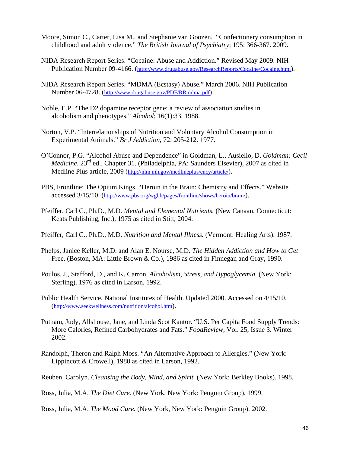- Moore, Simon C., Carter, Lisa M., and Stephanie van Goozen. "Confectionery consumption in childhood and adult violence." *The British Journal of Psychiatry*; 195: 366-367. 2009.
- NIDA Research Report Series. "Cocaine: Abuse and Addiction." Revised May 2009. NIH Publication Number 09-4166. (http://www.drugabuse.gov/ResearchReports/Cocaine/Cocaine.html).
- NIDA Research Report Series. "MDMA (Ecstasy) Abuse." March 2006. NIH Publication Number 06-4728. (http://www.drugabuse.gov/PDF/RRmdma.pdf).
- Noble, E.P. "The D2 dopamine receptor gene: a review of association studies in alcoholism and phenotypes." *Alcohol*; 16(1):33. 1988.
- Norton, V.P. "Interrelationships of Nutrition and Voluntary Alcohol Consumption in Experimental Animals." *Br J Addiction*, 72: 205-212. 1977.
- O'Connor, P.G. "Alcohol Abuse and Dependence" in Goldman, L., Ausiello, D. *Goldman: Cecil Medicine*. 23<sup>rd</sup> ed., Chapter 31. (Philadelphia, PA: Saunders Elsevier), 2007 as cited in Medline Plus article, 2009 (http://nlm.nih.gov/medlineplus/ency/article/).
- PBS, Frontline: The Opium Kings. "Heroin in the Brain: Chemistry and Effects." Website accessed 3/15/10. (http://www.pbs.org/wgbh/pages/frontline/shows/heroin/brain/).
- Pfeiffer, Carl C., Ph.D., M.D. *Mental and Elemental Nutrients.* (New Canaan, Connecticut: Keats Publishing, Inc.), 1975 as cited in Stitt, 2004.
- Pfeiffer, Carl C., Ph.D., M.D. *Nutrition and Mental Illness.* (Vermont: Healing Arts). 1987.
- Phelps, Janice Keller, M.D. and Alan E. Nourse, M.D. *The Hidden Addiction and How to Get*  Free. (Boston, MA: Little Brown & Co.), 1986 as cited in Finnegan and Gray, 1990.
- Poulos, J., Stafford, D., and K. Carron. *Alcoholism, Stress, and Hypoglycemia.* (New York: Sterling). 1976 as cited in Larson, 1992.
- Public Health Service, National Institutes of Health. Updated 2000. Accessed on 4/15/10. (http://www.seekwellness.com/nutrition/alcohol.htm).
- Putnam, Judy, Allshouse, Jane, and Linda Scot Kantor. "U.S. Per Capita Food Supply Trends: More Calories, Refined Carbohydrates and Fats." *FoodReview*, Vol. 25, Issue 3. Winter 2002.
- Randolph, Theron and Ralph Moss. "An Alternative Approach to Allergies." (New York: Lippincott & Crowell), 1980 as cited in Larson, 1992.
- Reuben, Carolyn. *Cleansing the Body, Mind, and Spirit.* (New York: Berkley Books). 1998.

Ross, Julia, M.A. *The Diet Cure*. (New York, New York: Penguin Group), 1999.

Ross, Julia, M.A. *The Mood Cure.* (New York, New York: Penguin Group). 2002.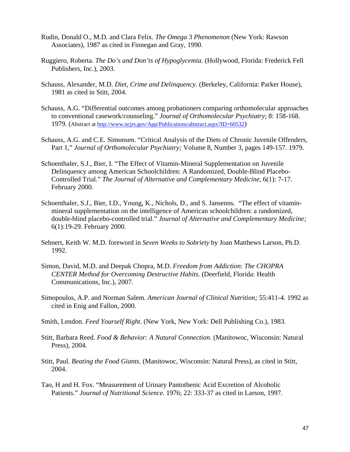- Rudin, Donald O., M.D. and Clara Felix. *The Omega* 3 *Phenomenon* (New York: Rawson Associates), 1987 as cited in Finnegan and Gray, 1990.
- Ruggiero, Roberta. *The Do's and Don'ts of Hypoglycemia*. (Hollywood, Florida: Frederick Fell Publishers, Inc.), 2003.
- Schauss, Alexander, M.D. *Diet, Crime and Delinquency.* (Berkeley, California: Parker House), 1981 as cited in Stitt, 2004.
- Schauss, A.G. "Differential outcomes among probationers comparing orthomolecular approaches to conventional casework/counseling." *Journal of Orthomolecular Psychiatry*; 8: 158-168. 1979. (Abstract at http://www.ncjrs.gov/App/Publications/abstract.aspx?ID=60532)
- Schauss, A.G. and C.E. Simonsen. "Critical Analysis of the Diets of Chronic Juvenile Offenders, Part 1," *Journal of Orthomolecular Psychiatry;* Volume 8, Number 3, pages 149-157. 1979.
- Schoenthaler, S.J., Bier, I. "The Effect of Vitamin-Mineral Supplementation on Juvenile Delinquency among American Schoolchildren: A Randomized, Double-Blind Placebo-Controlled Trial." *The Journal of Alternative and Complementary Medicine*, 6(1): 7-17. February 2000.
- Schoenthaler, S.J., Bier, I.D., Young, K., Nichols, D., and S. Jansenns. "The effect of vitaminmineral supplementation on the intelligence of American schoolchildren: a randomized, double-blind placebo-controlled trial." *Journal of Alternative and Complementary Medicine;*  6(1):19-29. February 2000.
- Sehnert, Keith W. M.D. foreword in *Seven Weeks to Sobriety* by Joan Matthews Larson, Ph.D. 1992.
- Simon, David, M.D. and Deepak Chopra, M.D. *Freedom from Addiction*: *The CHOPRA CENTER Method for Overcoming Destructive Habits.* (Deerfield, Florida: Health Communications, Inc.), 2007.
- Simopoulos, A.P. and Norman Salem. *American Journal of Clinical Nutrition;* 55:411-4. 1992 as cited in Enig and Fallon, 2000.
- Smith, Lendon. *Feed Yourself Right*. (New York, New York: Dell Publishing Co.), 1983.
- Stitt, Barbara Reed. *Food & Behavior: A Natural Connection*. (Manitowoc, Wisconsin: Natural Press), 2004.
- Stitt, Paul. *Beating the Food Giants*. (Manitowoc, Wisconsin: Natural Press), as cited in Stitt, 2004.
- Tao, H and H. Fox. "Measurement of Urinary Pantothenic Acid Excretion of Alcoholic Patients." *Journal of Nutritional Science.* 1976; 22: 333-37 as cited in Larson, 1997.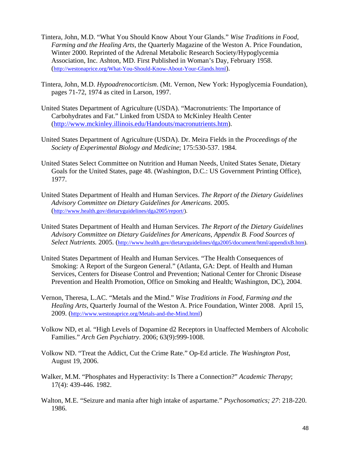- Tintera, John, M.D. "What You Should Know About Your Glands." *Wise Traditions in Food, Farming and the Healing Arts,* the Quarterly Magazine of the Weston A. Price Foundation, Winter 2000. Reprinted of the Adrenal Metabolic Research Society/Hypoglycemia Association, Inc. Ashton, MD. First Published in Woman's Day, February 1958. (http://westonaprice.org/What-You-Should-Know-About-Your-Glands.html).
- Tintera, John, M.D. *Hypoadrenocorticism*. (Mt. Vernon, New York: Hypoglycemia Foundation), pages 71-72, 1974 as cited in Larson, 1997.
- United States Department of Agriculture (USDA). "Macronutrients: The Importance of Carbohydrates and Fat." Linked from USDA to McKinley Health Center (http://www.mckinley.illinois.edu/Handouts/macronutrients.htm).
- United States Department of Agriculture (USDA). Dr. Meira Fields in the *Proceedings of the Society of Experimental Biology and Medicine*; 175:530-537. 1984.
- United States Select Committee on Nutrition and Human Needs, United States Senate, Dietary Goals for the United States, page 48. (Washington, D.C.: US Government Printing Office), 1977.
- United States Department of Health and Human Services. *The Report of the Dietary Guidelines Advisory Committee on Dietary Guidelines for Americans*. 2005. (http://www.health.gov/dietaryguidelines/dga2005/report/).
- United States Department of Health and Human Services. *The Report of the Dietary Guidelines Advisory Committee on Dietary Guidelines for Americans, Appendix B. Food Sources of Select Nutrients.* 2005. (http://www.health.gov/dietaryguidelines/dga2005/document/html/appendixB.htm).
- United States Department of Health and Human Services. "The Health Consequences of Smoking: A Report of the Surgeon General." (Atlanta, GA: Dept. of Health and Human Services, Centers for Disease Control and Prevention; National Center for Chronic Disease Prevention and Health Promotion, Office on Smoking and Health; Washington, DC), 2004.
- Vernon, Theresa, L.AC. "Metals and the Mind." *Wise Traditions in Food, Farming and the Healing Arts*, Quarterly Journal of the Weston A. Price Foundation, Winter 2008. April 15, 2009. (http://www.westonaprice.org/Metals-and-the-Mind.html)
- Volkow ND, et al. "High Levels of Dopamine d2 Receptors in Unaffected Members of Alcoholic Families." *Arch Gen Psychiatry*. 2006; 63(9):999-1008.
- Volkow ND. "Treat the Addict, Cut the Crime Rate." Op-Ed article. *The Washington Post*, August 19, 2006.
- Walker, M.M. "Phosphates and Hyperactivity: Is There a Connection?" *Academic Therapy*; 17(4): 439-446. 1982.
- Walton, M.E. "Seizure and mania after high intake of aspartame." *Psychosomatics; 27*: 218-220. 1986.